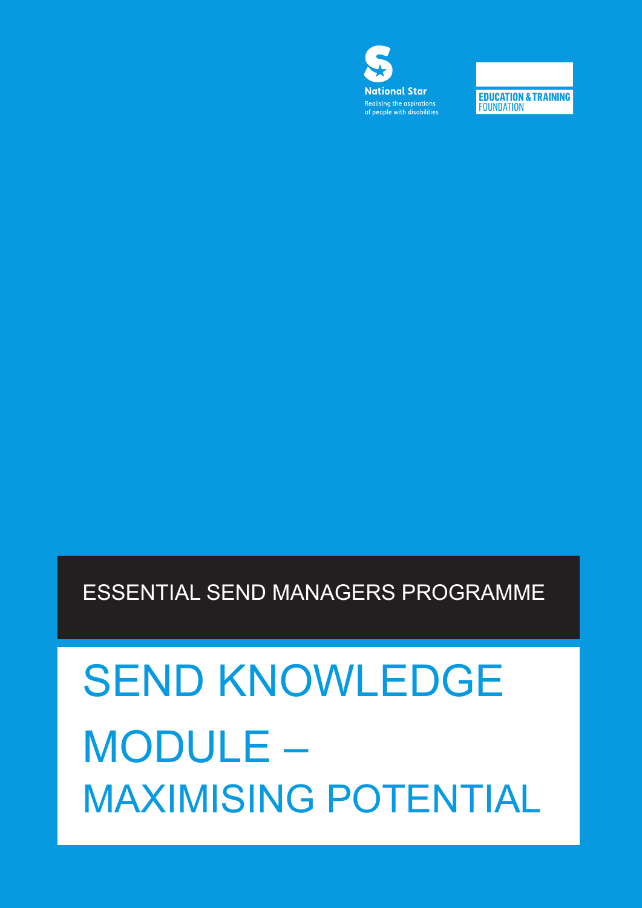# SEND KNOWLEDGE MODULE – MAXIMISING POTENTIAL

ESSENTIAL SEND MANAGERS PROGRAMME



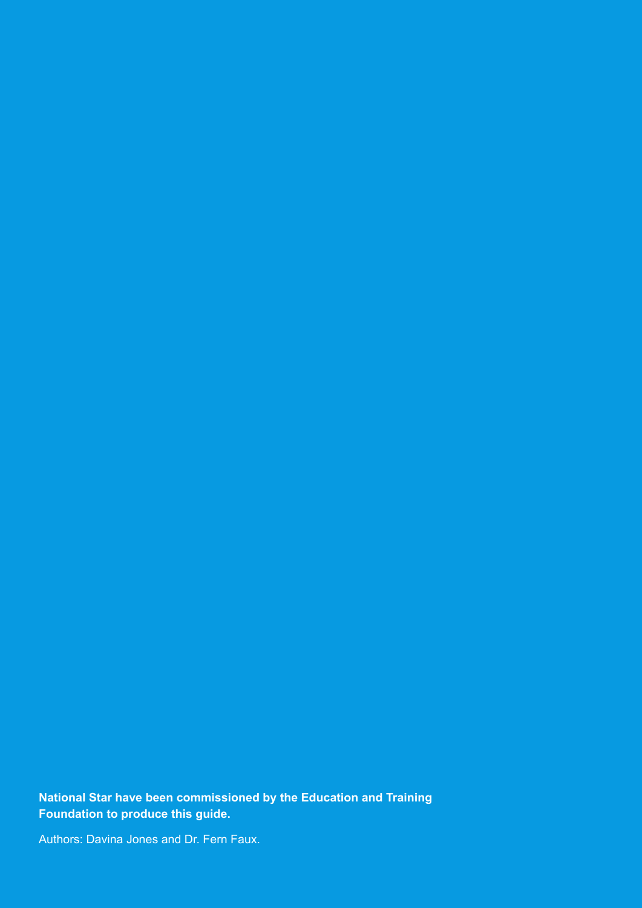**National Star have been commissioned by the Education and Training Foundation to produce this guide.**

Authors: Davina Jones and Dr. Fern Faux.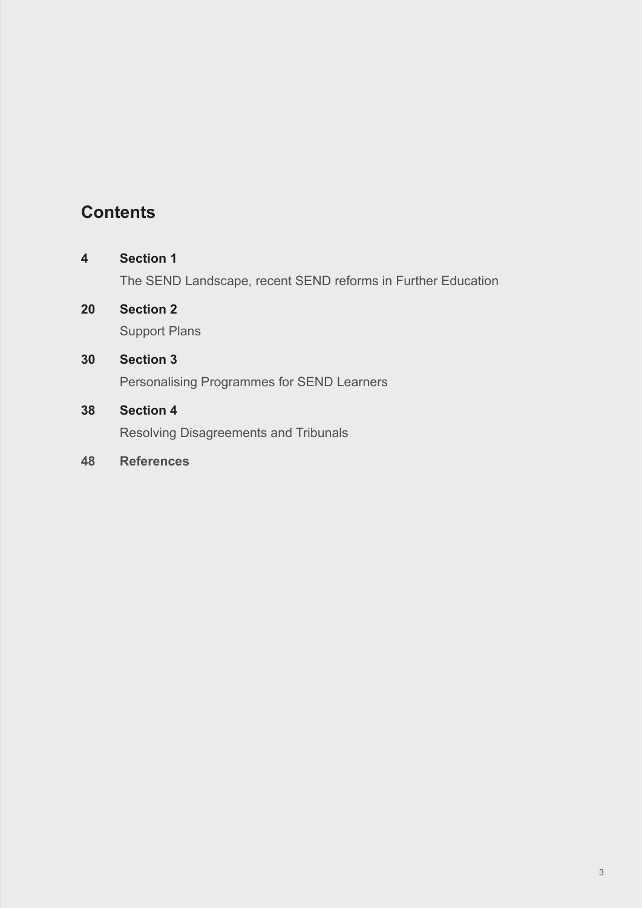# **Contents**

## **4 Section 1**

The SEND Landscape, recent SEND reforms in Further Education

**20 Section 2** Support Plans

### **30 Section 3**

Personalising Programmes for SEND Learners

### **38 Section 4**

Resolving Disagreements and Tribunals

## **48 References**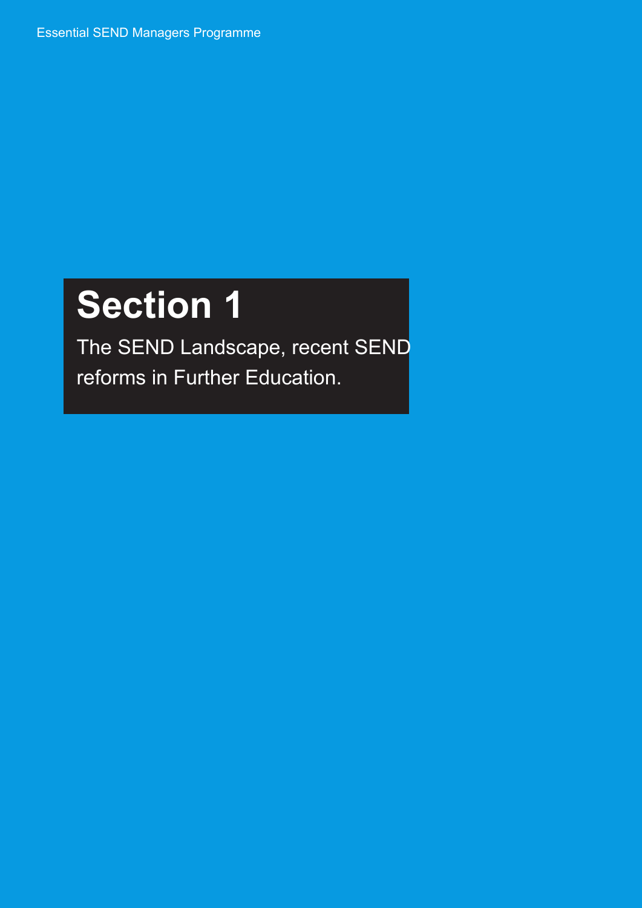Essential SEND Managers Programme

# **Section 1**

The SEND Landscape, recent SEND reforms in Further Education.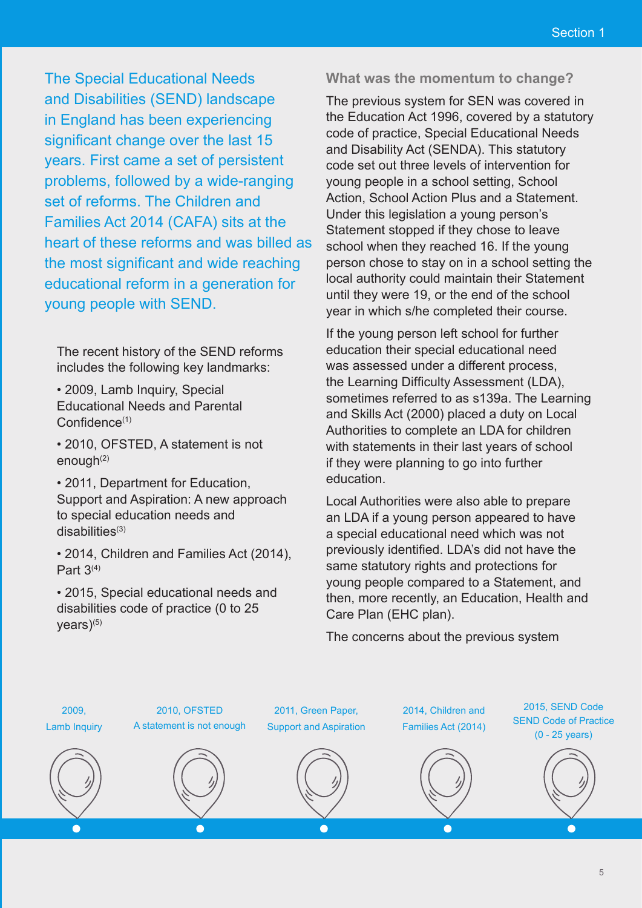The Special Educational Needs and Disabilities (SEND) landscape in England has been experiencing significant change over the last 15 years. First came a set of persistent problems, followed by a wide-ranging set of reforms. The Children and Families Act 2014 (CAFA) sits at the heart of these reforms and was billed as the most significant and wide reaching educational reform in a generation for young people with SEND.

The recent history of the SEND reforms includes the following key landmarks:

• 2009, Lamb Inquiry, Special Educational Needs and Parental Confidence<sup>(1)</sup>

• 2010, OFSTED, A statement is not enough $(2)$ 

• 2011, Department for Education, Support and Aspiration: A new approach to special education needs and  $disabilities<sup>(3)</sup>$ 

• 2014, Children and Families Act (2014), Part  $3<sup>(4)</sup>$ 

• 2015, Special educational needs and disabilities code of practice (0 to 25  $vears$ )(5)

#### **What was the momentum to change?**

The previous system for SEN was covered in the Education Act 1996, covered by a statutory code of practice, Special Educational Needs and Disability Act (SENDA). This statutory code set out three levels of intervention for young people in a school setting, School Action, School Action Plus and a Statement. Under this legislation a young person's Statement stopped if they chose to leave school when they reached 16. If the young person chose to stay on in a school setting the local authority could maintain their Statement until they were 19, or the end of the school year in which s/he completed their course.

If the young person left school for further education their special educational need was assessed under a different process, the Learning Difficulty Assessment (LDA), sometimes referred to as s139a. The Learning and Skills Act (2000) placed a duty on Local Authorities to complete an LDA for children with statements in their last years of school if they were planning to go into further education.

Local Authorities were also able to prepare an LDA if a young person appeared to have a special educational need which was not previously identified. LDA's did not have the same statutory rights and protections for young people compared to a Statement, and then, more recently, an Education, Health and Care Plan (EHC plan).

The concerns about the previous system

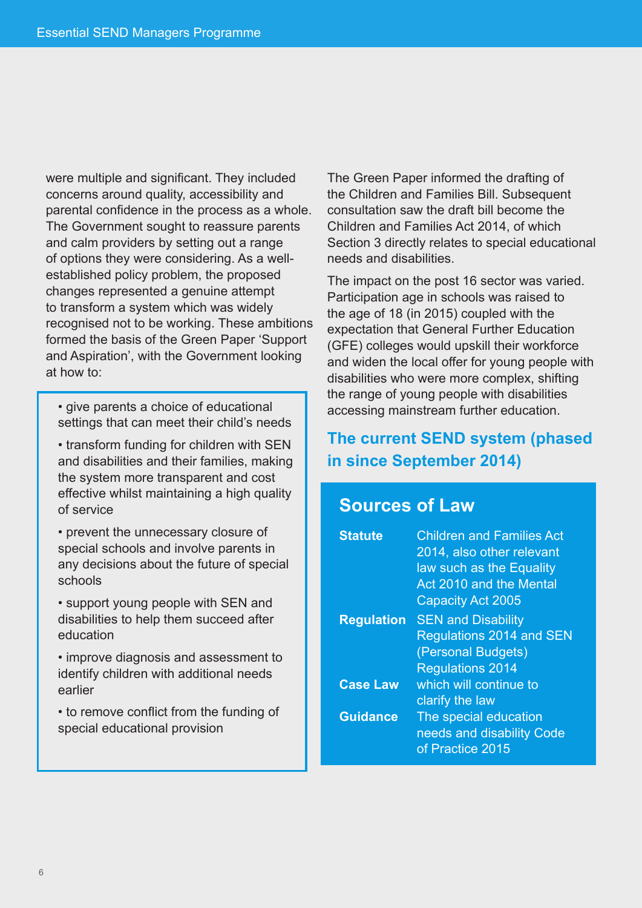were multiple and significant. They included concerns around quality, accessibility and parental confidence in the process as a whole. The Government sought to reassure parents and calm providers by setting out a range of options they were considering. As a wellestablished policy problem, the proposed changes represented a genuine attempt to transform a system which was widely recognised not to be working. These ambitions formed the basis of the Green Paper 'Support and Aspiration', with the Government looking at how to:

• give parents a choice of educational settings that can meet their child's needs

- transform funding for children with SEN and disabilities and their families, making the system more transparent and cost effective whilst maintaining a high quality of service
- prevent the unnecessary closure of special schools and involve parents in any decisions about the future of special schools
- support young people with SEN and disabilities to help them succeed after education
- improve diagnosis and assessment to identify children with additional needs earlier
- to remove conflict from the funding of special educational provision

The Green Paper informed the drafting of the Children and Families Bill. Subsequent consultation saw the draft bill become the Children and Families Act 2014, of which Section 3 directly relates to special educational needs and disabilities.

The impact on the post 16 sector was varied. Participation age in schools was raised to the age of 18 (in 2015) coupled with the expectation that General Further Education (GFE) colleges would upskill their workforce and widen the local offer for young people with disabilities who were more complex, shifting the range of young people with disabilities accessing mainstream further education.

## **The current SEND system (phased in since September 2014)**

# **Sources of Law**

| <b>Statute</b>    | <b>Children and Families Act</b><br>2014, also other relevant<br>law such as the Equality<br>Act 2010 and the Mental<br><b>Capacity Act 2005</b> |
|-------------------|--------------------------------------------------------------------------------------------------------------------------------------------------|
| <b>Regulation</b> | <b>SEN and Disability</b><br><b>Regulations 2014 and SEN</b><br>(Personal Budgets)<br><b>Regulations 2014</b>                                    |
| <b>Case Law</b>   | which will continue to<br>clarify the law                                                                                                        |
| <b>Guidance</b>   | The special education<br>needs and disability Code<br>of Practice 2015                                                                           |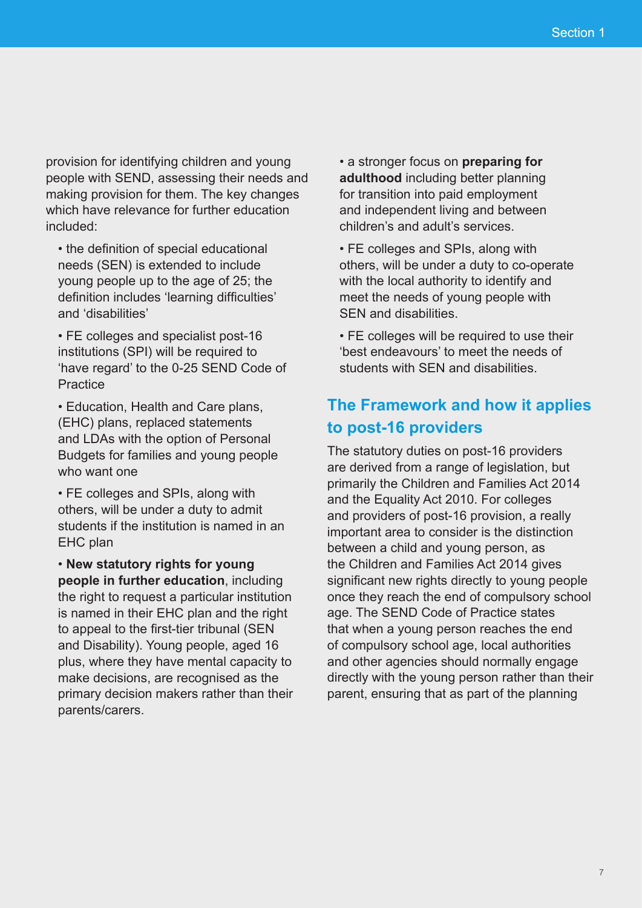provision for identifying children and young people with SEND, assessing their needs and making provision for them. The key changes which have relevance for further education included:

- the definition of special educational needs (SEN) is extended to include young people up to the age of 25; the definition includes 'learning difficulties' and 'disabilities'
- FE colleges and specialist post-16 institutions (SPI) will be required to 'have regard' to the 0-25 SEND Code of **Practice**

• Education, Health and Care plans, (EHC) plans, replaced statements and LDAs with the option of Personal Budgets for families and young people who want one

• FE colleges and SPIs, along with others, will be under a duty to admit students if the institution is named in an EHC plan

• **New statutory rights for young people in further education**, including the right to request a particular institution is named in their EHC plan and the right to appeal to the first-tier tribunal (SEN and Disability). Young people, aged 16 plus, where they have mental capacity to make decisions, are recognised as the primary decision makers rather than their parents/carers.

• a stronger focus on **preparing for adulthood** including better planning for transition into paid employment and independent living and between children's and adult's services.

• FE colleges and SPIs, along with others, will be under a duty to co-operate with the local authority to identify and meet the needs of young people with SEN and disabilities.

• FE colleges will be required to use their 'best endeavours' to meet the needs of students with SEN and disabilities.

## **The Framework and how it applies to post-16 providers**

The statutory duties on post-16 providers are derived from a range of legislation, but primarily the Children and Families Act 2014 and the Equality Act 2010. For colleges and providers of post-16 provision, a really important area to consider is the distinction between a child and young person, as the Children and Families Act 2014 gives significant new rights directly to young people once they reach the end of compulsory school age. The SEND Code of Practice states that when a young person reaches the end of compulsory school age, local authorities and other agencies should normally engage directly with the young person rather than their parent, ensuring that as part of the planning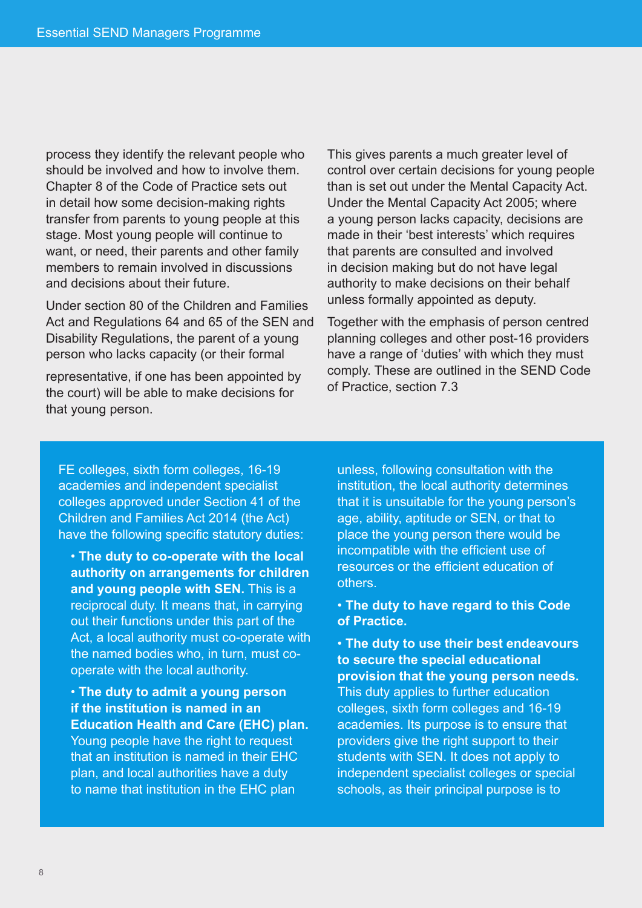process they identify the relevant people who should be involved and how to involve them. Chapter 8 of the Code of Practice sets out in detail how some decision-making rights transfer from parents to young people at this stage. Most young people will continue to want, or need, their parents and other family members to remain involved in discussions and decisions about their future.

Under section 80 of the Children and Families Act and Regulations 64 and 65 of the SEN and Disability Regulations, the parent of a young person who lacks capacity (or their formal

representative, if one has been appointed by the court) will be able to make decisions for that young person.

This gives parents a much greater level of control over certain decisions for young people than is set out under the Mental Capacity Act. Under the Mental Capacity Act 2005; where a young person lacks capacity, decisions are made in their 'best interests' which requires that parents are consulted and involved in decision making but do not have legal authority to make decisions on their behalf unless formally appointed as deputy.

Together with the emphasis of person centred planning colleges and other post-16 providers have a range of 'duties' with which they must comply. These are outlined in the SEND Code of Practice, section 7.3

FE colleges, sixth form colleges, 16-19 academies and independent specialist colleges approved under Section 41 of the Children and Families Act 2014 (the Act) have the following specific statutory duties:

• **The duty to co-operate with the local authority on arrangements for children and young people with SEN.** This is a reciprocal duty. It means that, in carrying out their functions under this part of the Act, a local authority must co-operate with the named bodies who, in turn, must cooperate with the local authority.

• **The duty to admit a young person if the institution is named in an Education Health and Care (EHC) plan.**  Young people have the right to request that an institution is named in their EHC plan, and local authorities have a duty to name that institution in the EHC plan

unless, following consultation with the institution, the local authority determines that it is unsuitable for the young person's age, ability, aptitude or SEN, or that to place the young person there would be incompatible with the efficient use of resources or the efficient education of others.

### • **The duty to have regard to this Code of Practice.**

• **The duty to use their best endeavours to secure the special educational provision that the young person needs.** This duty applies to further education colleges, sixth form colleges and 16-19 academies. Its purpose is to ensure that providers give the right support to their students with SEN. It does not apply to independent specialist colleges or special schools, as their principal purpose is to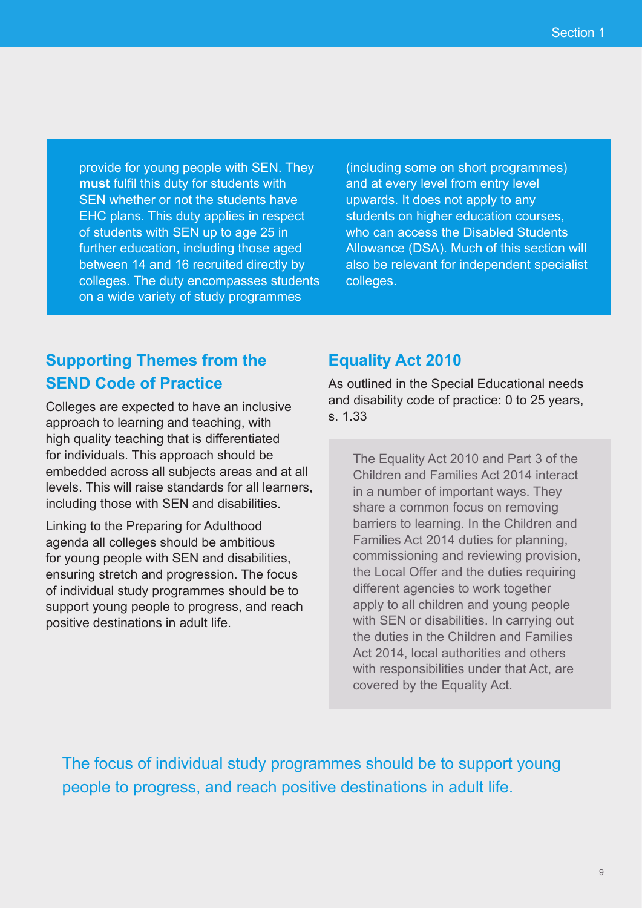provide for young people with SEN. They **must** fulfil this duty for students with SEN whether or not the students have EHC plans. This duty applies in respect of students with SEN up to age 25 in further education, including those aged between 14 and 16 recruited directly by colleges. The duty encompasses students on a wide variety of study programmes

(including some on short programmes) and at every level from entry level upwards. It does not apply to any students on higher education courses, who can access the Disabled Students Allowance (DSA). Much of this section will also be relevant for independent specialist colleges.

# **Supporting Themes from the SEND Code of Practice**

Colleges are expected to have an inclusive approach to learning and teaching, with high quality teaching that is differentiated for individuals. This approach should be embedded across all subjects areas and at all levels. This will raise standards for all learners, including those with SEN and disabilities.

Linking to the Preparing for Adulthood agenda all colleges should be ambitious for young people with SEN and disabilities, ensuring stretch and progression. The focus of individual study programmes should be to support young people to progress, and reach positive destinations in adult life.

## **Equality Act 2010**

As outlined in the Special Educational needs and disability code of practice: 0 to 25 years, s. 1.33

The Equality Act 2010 and Part 3 of the Children and Families Act 2014 interact in a number of important ways. They share a common focus on removing barriers to learning. In the Children and Families Act 2014 duties for planning, commissioning and reviewing provision, the Local Offer and the duties requiring different agencies to work together apply to all children and young people with SEN or disabilities. In carrying out the duties in the Children and Families Act 2014, local authorities and others with responsibilities under that Act, are covered by the Equality Act.

The focus of individual study programmes should be to support young people to progress, and reach positive destinations in adult life.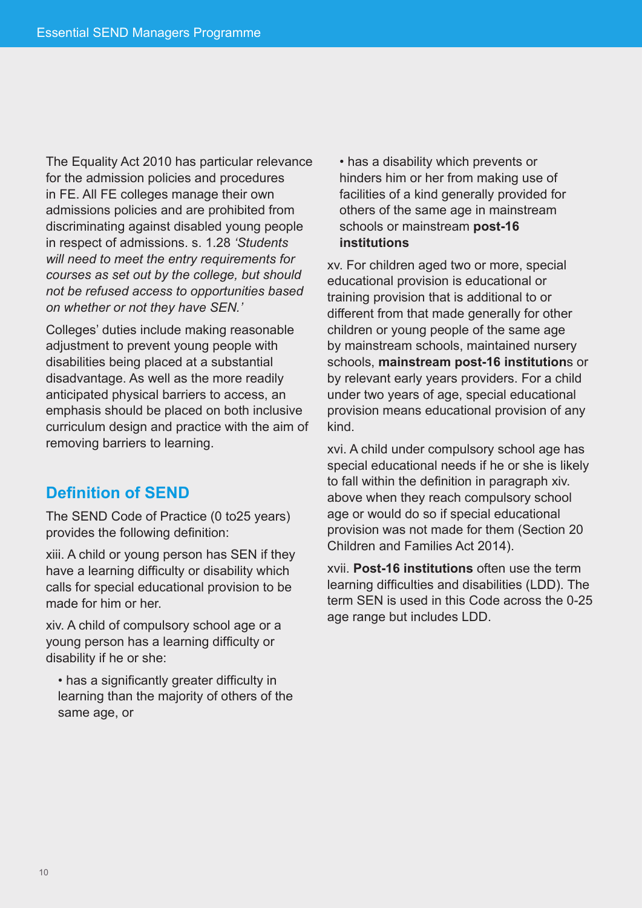The Equality Act 2010 has particular relevance for the admission policies and procedures in FE. All FE colleges manage their own admissions policies and are prohibited from discriminating against disabled young people in respect of admissions. s. 1.28 *'Students will need to meet the entry requirements for courses as set out by the college, but should not be refused access to opportunities based on whether or not they have SEN.'*

Colleges' duties include making reasonable adjustment to prevent young people with disabilities being placed at a substantial disadvantage. As well as the more readily anticipated physical barriers to access, an emphasis should be placed on both inclusive curriculum design and practice with the aim of removing barriers to learning.

## **Definition of SEND**

The SEND Code of Practice (0 to25 years) provides the following definition:

xiii. A child or young person has SEN if they have a learning difficulty or disability which calls for special educational provision to be made for him or her.

xiv. A child of compulsory school age or a young person has a learning difficulty or disability if he or she:

• has a significantly greater difficulty in learning than the majority of others of the same age, or

• has a disability which prevents or hinders him or her from making use of facilities of a kind generally provided for others of the same age in mainstream schools or mainstream **post-16 institutions** 

xv. For children aged two or more, special educational provision is educational or training provision that is additional to or different from that made generally for other children or young people of the same age by mainstream schools, maintained nursery schools, **mainstream post-16 institution**s or by relevant early years providers. For a child under two years of age, special educational provision means educational provision of any kind.

xvi. A child under compulsory school age has special educational needs if he or she is likely to fall within the definition in paragraph xiv. above when they reach compulsory school age or would do so if special educational provision was not made for them (Section 20 Children and Families Act 2014).

xvii. **Post-16 institutions** often use the term learning difficulties and disabilities (LDD). The term SEN is used in this Code across the 0-25 age range but includes LDD.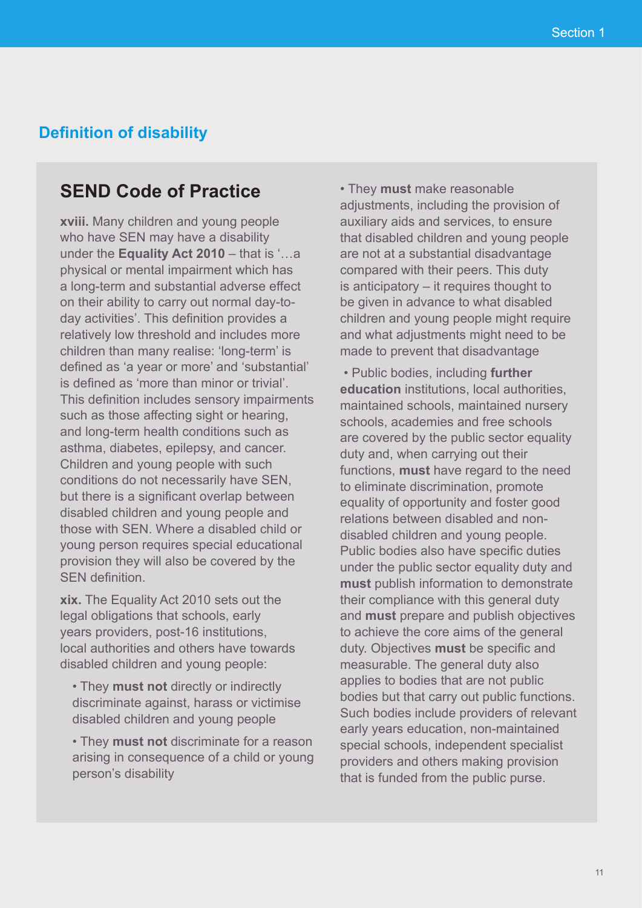## **Definition of disability**

# **SEND Code of Practice**

**xviii.** Many children and young people who have SEN may have a disability under the **Equality Act 2010** – that is '…a physical or mental impairment which has a long-term and substantial adverse effect on their ability to carry out normal day-today activities'. This definition provides a relatively low threshold and includes more children than many realise: 'long-term' is defined as 'a year or more' and 'substantial' is defined as 'more than minor or trivial'. This definition includes sensory impairments such as those affecting sight or hearing, and long-term health conditions such as asthma, diabetes, epilepsy, and cancer. Children and young people with such conditions do not necessarily have SEN, but there is a significant overlap between disabled children and young people and those with SEN. Where a disabled child or young person requires special educational provision they will also be covered by the SEN definition.

**xix.** The Equality Act 2010 sets out the legal obligations that schools, early years providers, post-16 institutions, local authorities and others have towards disabled children and young people:

- They **must not** directly or indirectly discriminate against, harass or victimise disabled children and young people
- They **must not** discriminate for a reason arising in consequence of a child or young person's disability

• They **must** make reasonable adjustments, including the provision of auxiliary aids and services, to ensure that disabled children and young people are not at a substantial disadvantage compared with their peers. This duty is anticipatory – it requires thought to be given in advance to what disabled children and young people might require and what adjustments might need to be made to prevent that disadvantage

 • Public bodies, including **further education** institutions, local authorities, maintained schools, maintained nursery schools, academies and free schools are covered by the public sector equality duty and, when carrying out their functions, **must** have regard to the need to eliminate discrimination, promote equality of opportunity and foster good relations between disabled and nondisabled children and young people. Public bodies also have specific duties under the public sector equality duty and **must** publish information to demonstrate their compliance with this general duty and **must** prepare and publish objectives to achieve the core aims of the general duty. Objectives **must** be specific and measurable. The general duty also applies to bodies that are not public bodies but that carry out public functions. Such bodies include providers of relevant early years education, non-maintained special schools, independent specialist providers and others making provision that is funded from the public purse.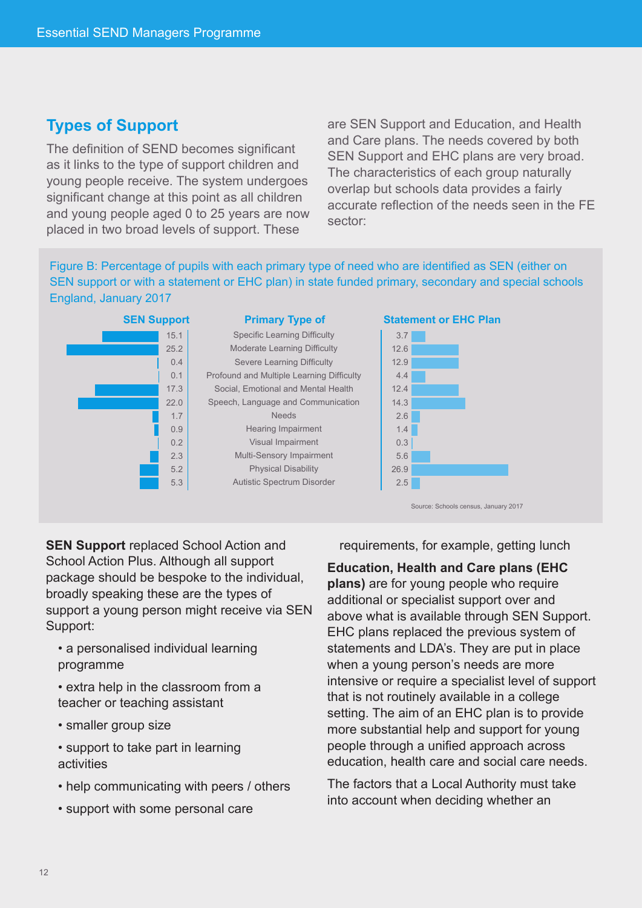## **Types of Support**

The definition of SEND becomes significant as it links to the type of support children and young people receive. The system undergoes significant change at this point as all children and young people aged 0 to 25 years are now placed in two broad levels of support. These

are SEN Support and Education, and Health and Care plans. The needs covered by both SEN Support and EHC plans are very broad. The characteristics of each group naturally overlap but schools data provides a fairly accurate reflection of the needs seen in the FE sector:

Figure B: Percentage of pupils with each primary type of need who are identified as SEN (either on SEN support or with a statement or EHC plan) in state funded primary, secondary and special schools England, January 2017



**SEN Support** replaced School Action and School Action Plus. Although all support package should be bespoke to the individual, broadly speaking these are the types of support a young person might receive via SEN Support:

- a personalised individual learning programme
- extra help in the classroom from a teacher or teaching assistant
- smaller group size
- support to take part in learning activities
- help communicating with peers / others
- support with some personal care

requirements, for example, getting lunch

#### **Education, Health and Care plans (EHC**

**plans)** are for young people who require additional or specialist support over and above what is available through SEN Support. EHC plans replaced the previous system of statements and LDA's. They are put in place when a young person's needs are more intensive or require a specialist level of support that is not routinely available in a college setting. The aim of an EHC plan is to provide more substantial help and support for young people through a unified approach across education, health care and social care needs.

The factors that a Local Authority must take into account when deciding whether an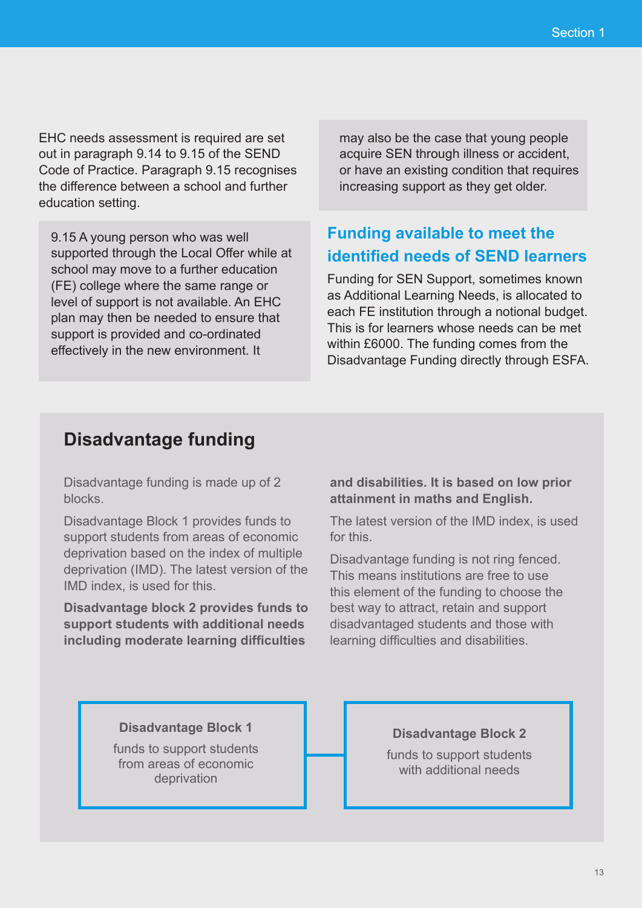EHC needs assessment is required are set out in paragraph 9.14 to 9.15 of the SEND Code of Practice. Paragraph 9.15 recognises the difference between a school and further education setting.

9.15 A young person who was well supported through the Local Offer while at school may move to a further education (FE) college where the same range or level of support is not available. An EHC plan may then be needed to ensure that support is provided and co-ordinated effectively in the new environment. It

may also be the case that young people acquire SEN through illness or accident, or have an existing condition that requires increasing support as they get older.

# **Funding available to meet the identified needs of SEND learners**

Funding for SEN Support, sometimes known as Additional Learning Needs, is allocated to each FE institution through a notional budget. This is for learners whose needs can be met within £6000. The funding comes from the Disadvantage Funding directly through ESFA.

## **Disadvantage funding**

Disadvantage funding is made up of 2 blocks.

Disadvantage Block 1 provides funds to support students from areas of economic deprivation based on the index of multiple deprivation (IMD). The latest version of the IMD index, is used for this.

**Disadvantage block 2 provides funds to support students with additional needs including moderate learning difficulties** 

**and disabilities. It is based on low prior attainment in maths and English.**

The latest version of the IMD index, is used for this.

Disadvantage funding is not ring fenced. This means institutions are free to use this element of the funding to choose the best way to attract, retain and support disadvantaged students and those with learning difficulties and disabilities.

#### **Disadvantage Block 1**

funds to support students from areas of economic deprivation

#### **Disadvantage Block 2**

funds to support students with additional needs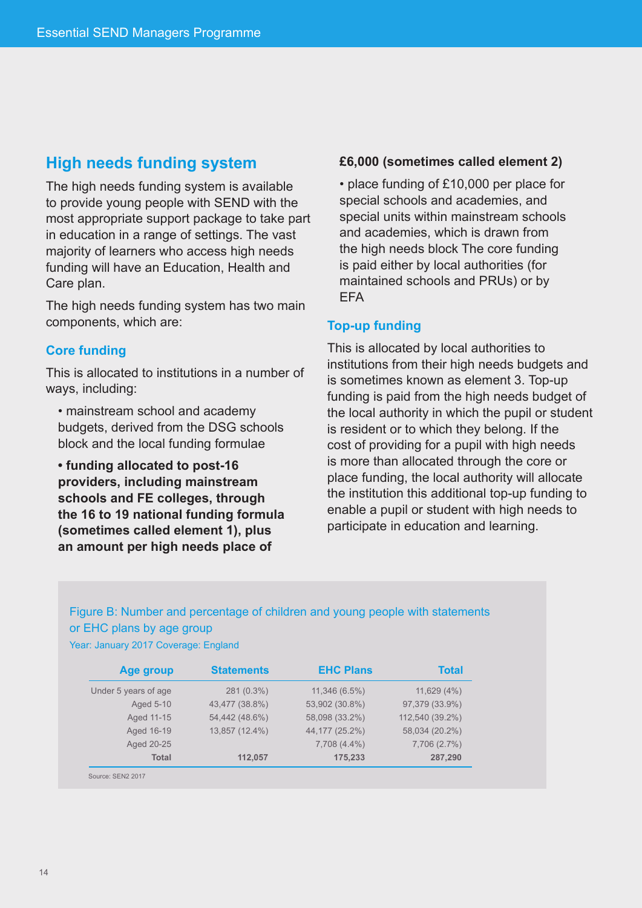## **High needs funding system**

The high needs funding system is available to provide young people with SEND with the most appropriate support package to take part in education in a range of settings. The vast majority of learners who access high needs funding will have an Education, Health and Care plan.

The high needs funding system has two main components, which are:

#### **Core funding**

This is allocated to institutions in a number of ways, including:

• mainstream school and academy budgets, derived from the DSG schools block and the local funding formulae

**• funding allocated to post-16 providers, including mainstream schools and FE colleges, through the 16 to 19 national funding formula (sometimes called element 1), plus an amount per high needs place of** 

#### **£6,000 (sometimes called element 2)**

• place funding of £10,000 per place for special schools and academies, and special units within mainstream schools and academies, which is drawn from the high needs block The core funding is paid either by local authorities (for maintained schools and PRUs) or by **FFA** 

#### **Top-up funding**

This is allocated by local authorities to institutions from their high needs budgets and is sometimes known as element 3. Top-up funding is paid from the high needs budget of the local authority in which the pupil or student is resident or to which they belong. If the cost of providing for a pupil with high needs is more than allocated through the core or place funding, the local authority will allocate the institution this additional top-up funding to enable a pupil or student with high needs to participate in education and learning.

## Figure B: Number and percentage of children and young people with statements or EHC plans by age group

| Year: January 2017 Coverage: England |  |  |  |
|--------------------------------------|--|--|--|
|--------------------------------------|--|--|--|

| Age group            | <b>Statements</b> | <b>EHC Plans</b> | <b>Total</b>    |
|----------------------|-------------------|------------------|-----------------|
| Under 5 years of age | 281 (0.3%)        | $11,346(6.5\%)$  | 11,629(4%)      |
| Aged 5-10            | 43,477 (38.8%)    | 53,902 (30.8%)   | 97,379 (33.9%)  |
| Aged 11-15           | 54,442 (48.6%)    | 58,098 (33.2%)   | 112,540 (39.2%) |
| Aged 16-19           | 13,857 (12.4%)    | 44,177 (25.2%)   | 58,034 (20.2%)  |
| Aged 20-25           |                   | 7,708 (4.4%)     | 7,706 (2.7%)    |
| <b>Total</b>         | 112,057           | 175,233          | 287,290         |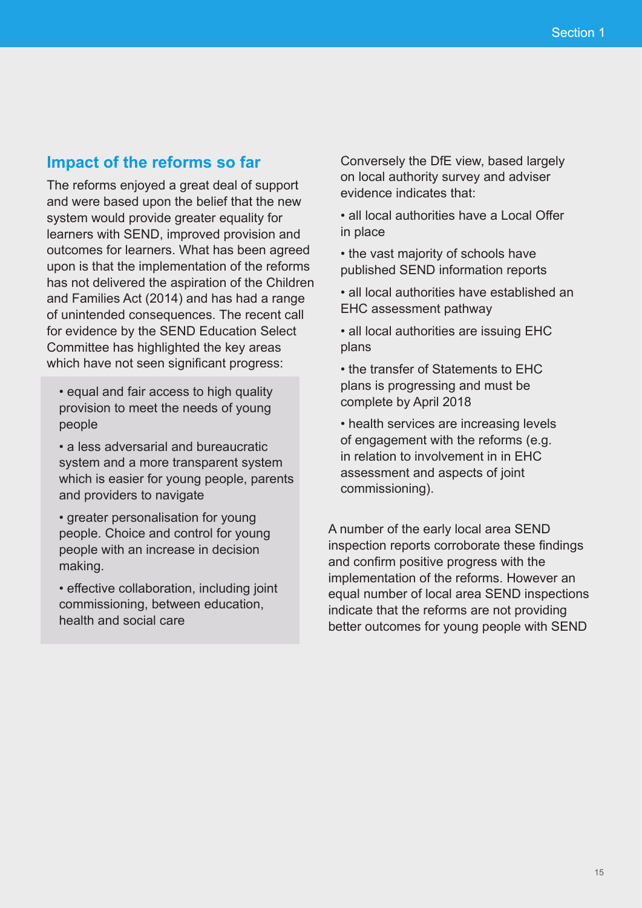## **Impact of the reforms so far**

The reforms enjoyed a great deal of support and were based upon the belief that the new system would provide greater equality for learners with SEND, improved provision and outcomes for learners. What has been agreed upon is that the implementation of the reforms has not delivered the aspiration of the Children and Families Act (2014) and has had a range of unintended consequences. The recent call for evidence by the SEND Education Select Committee has highlighted the key areas which have not seen significant progress:

- equal and fair access to high quality provision to meet the needs of young people
- a less adversarial and bureaucratic system and a more transparent system which is easier for young people, parents and providers to navigate
- greater personalisation for young people. Choice and control for young people with an increase in decision making.
- effective collaboration, including joint commissioning, between education, health and social care

Conversely the DfE view, based largely on local authority survey and adviser evidence indicates that:

- all local authorities have a Local Offer in place
- the vast majority of schools have published SEND information reports
- all local authorities have established an EHC assessment pathway
- all local authorities are issuing EHC plans
- the transfer of Statements to EHC plans is progressing and must be complete by April 2018
- health services are increasing levels of engagement with the reforms (e.g. in relation to involvement in in EHC assessment and aspects of joint commissioning).

A number of the early local area SEND inspection reports corroborate these findings and confirm positive progress with the implementation of the reforms. However an equal number of local area SEND inspections indicate that the reforms are not providing better outcomes for young people with SEND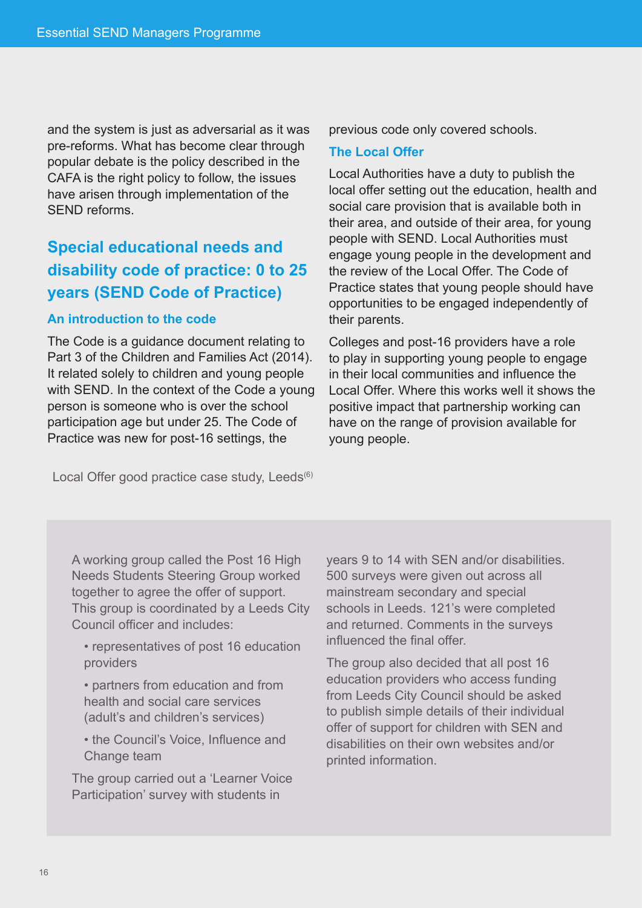and the system is just as adversarial as it was pre-reforms. What has become clear through popular debate is the policy described in the CAFA is the right policy to follow, the issues have arisen through implementation of the SEND reforms.

# **Special educational needs and disability code of practice: 0 to 25 years (SEND Code of Practice)**

#### **An introduction to the code**

The Code is a guidance document relating to Part 3 of the Children and Families Act (2014). It related solely to children and young people with SEND. In the context of the Code a young person is someone who is over the school participation age but under 25. The Code of Practice was new for post-16 settings, the

previous code only covered schools.

#### **The Local Offer**

Local Authorities have a duty to publish the local offer setting out the education, health and social care provision that is available both in their area, and outside of their area, for young people with SEND. Local Authorities must engage young people in the development and the review of the Local Offer. The Code of Practice states that young people should have opportunities to be engaged independently of their parents.

Colleges and post-16 providers have a role to play in supporting young people to engage in their local communities and influence the Local Offer. Where this works well it shows the positive impact that partnership working can have on the range of provision available for young people.

Local Offer good practice case study, Leeds<sup>(6)</sup>

A working group called the Post 16 High Needs Students Steering Group worked together to agree the offer of support. This group is coordinated by a Leeds City Council officer and includes:

• representatives of post 16 education providers

• partners from education and from health and social care services (adult's and children's services)

• the Council's Voice, Influence and Change team

The group carried out a 'Learner Voice Participation' survey with students in

years 9 to 14 with SEN and/or disabilities. 500 surveys were given out across all mainstream secondary and special schools in Leeds. 121's were completed and returned. Comments in the surveys influenced the final offer.

The group also decided that all post 16 education providers who access funding from Leeds City Council should be asked to publish simple details of their individual offer of support for children with SEN and disabilities on their own websites and/or printed information.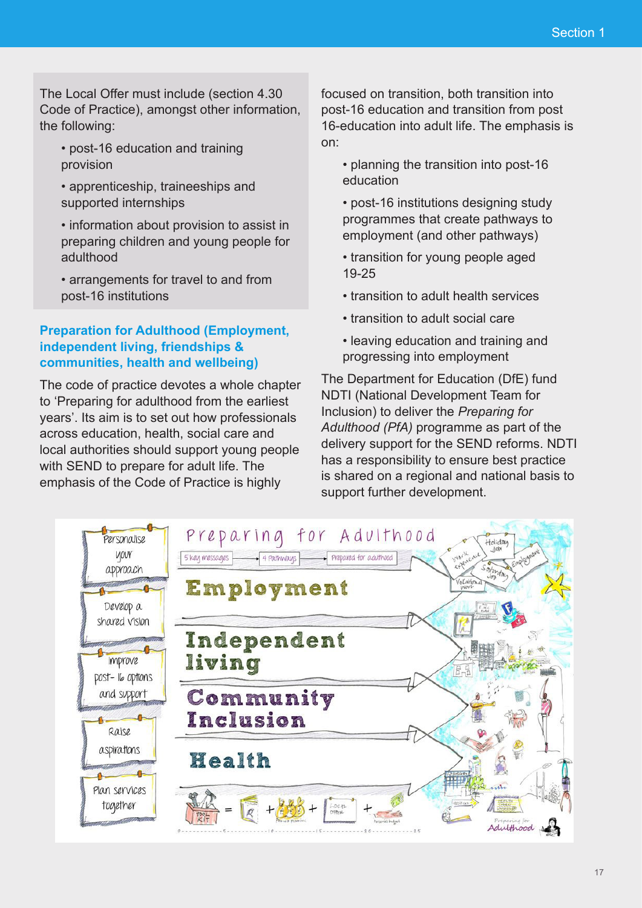The Local Offer must include (section 4.30 Code of Practice), amongst other information, the following:

- post-16 education and training provision
- apprenticeship, traineeships and supported internships
- information about provision to assist in preparing children and young people for adulthood
- arrangements for travel to and from post-16 institutions

### **Preparation for Adulthood (Employment, independent living, friendships & communities, health and wellbeing)**

The code of practice devotes a whole chapter to 'Preparing for adulthood from the earliest years'. Its aim is to set out how professionals across education, health, social care and local authorities should support young people with SEND to prepare for adult life. The emphasis of the Code of Practice is highly

focused on transition, both transition into post-16 education and transition from post 16-education into adult life. The emphasis is on:

- planning the transition into post-16 education
- post-16 institutions designing study programmes that create pathways to employment (and other pathways)
- transition for young people aged 19-25
- transition to adult health services
- transition to adult social care
- leaving education and training and progressing into employment

The Department for Education (DfE) fund NDTI (National Development Team for Inclusion) to deliver the *Preparing for Adulthood (PfA)* programme as part of the delivery support for the SEND reforms. NDTI has a responsibility to ensure best practice is shared on a regional and national basis to support further development.

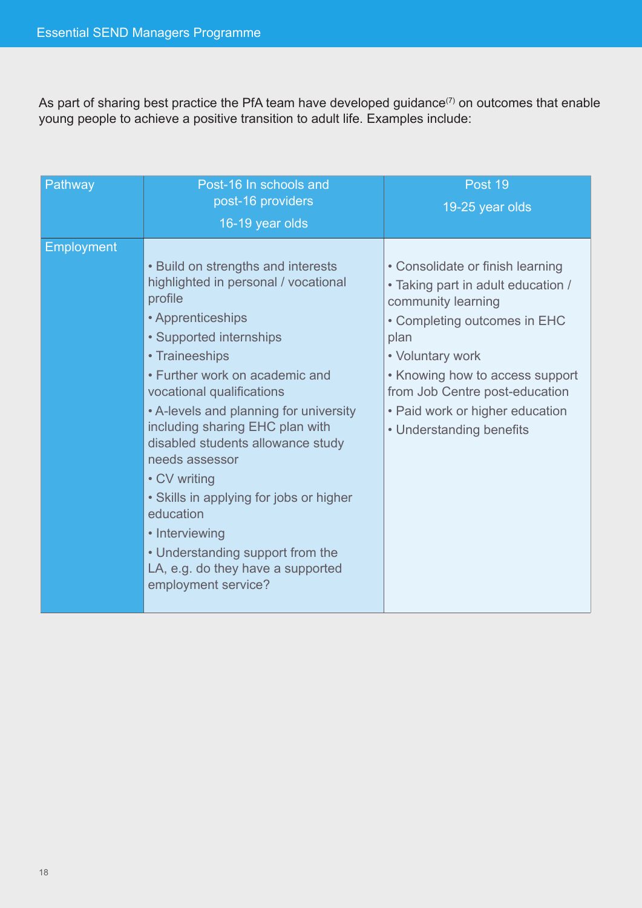As part of sharing best practice the PfA team have developed guidance<sup>(7)</sup> on outcomes that enable young people to achieve a positive transition to adult life. Examples include:

| Pathway           | Post-16 In schools and<br>post-16 providers<br>16-19 year olds                                                                                                                                                                                                                                                                                                                                                                                                                                                                                       | Post 19<br>19-25 year olds                                                                                                                                                                                                                                                                   |
|-------------------|------------------------------------------------------------------------------------------------------------------------------------------------------------------------------------------------------------------------------------------------------------------------------------------------------------------------------------------------------------------------------------------------------------------------------------------------------------------------------------------------------------------------------------------------------|----------------------------------------------------------------------------------------------------------------------------------------------------------------------------------------------------------------------------------------------------------------------------------------------|
| <b>Employment</b> | • Build on strengths and interests<br>highlighted in personal / vocational<br>profile<br>• Apprenticeships<br>• Supported internships<br>• Traineeships<br>• Further work on academic and<br>vocational qualifications<br>• A-levels and planning for university<br>including sharing EHC plan with<br>disabled students allowance study<br>needs assessor<br>• CV writing<br>• Skills in applying for jobs or higher<br>education<br>• Interviewing<br>• Understanding support from the<br>LA, e.g. do they have a supported<br>employment service? | • Consolidate or finish learning<br>• Taking part in adult education /<br>community learning<br>• Completing outcomes in EHC<br>plan<br>• Voluntary work<br>• Knowing how to access support<br>from Job Centre post-education<br>• Paid work or higher education<br>• Understanding benefits |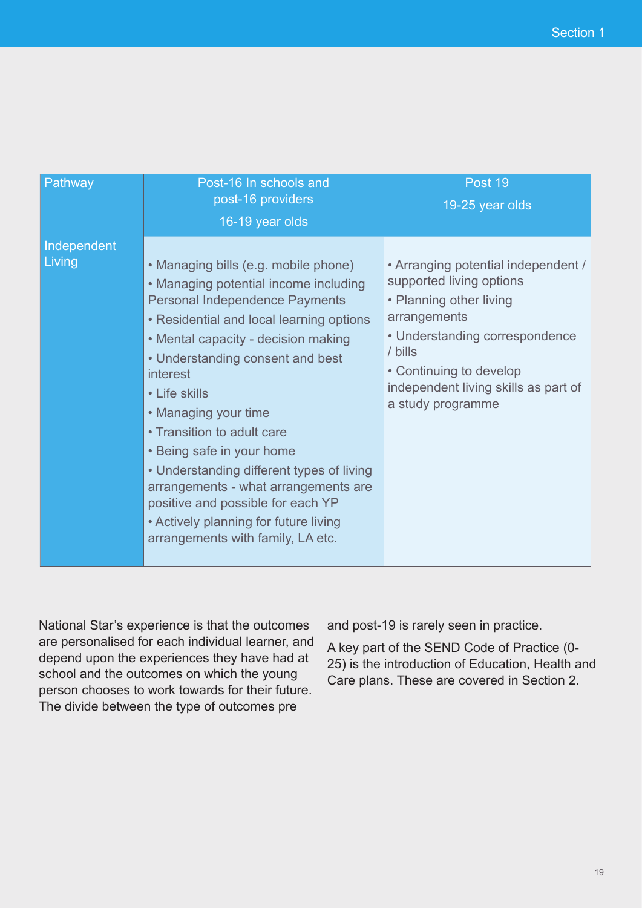| Pathway               | Post-16 In schools and<br>post-16 providers<br>16-19 year olds                                                                                                                                                                                                                                                                                                                                                                                                                                                                                                        | Post 19<br>19-25 year olds                                                                                                                                                                                                                      |
|-----------------------|-----------------------------------------------------------------------------------------------------------------------------------------------------------------------------------------------------------------------------------------------------------------------------------------------------------------------------------------------------------------------------------------------------------------------------------------------------------------------------------------------------------------------------------------------------------------------|-------------------------------------------------------------------------------------------------------------------------------------------------------------------------------------------------------------------------------------------------|
| Independent<br>Living | • Managing bills (e.g. mobile phone)<br>• Managing potential income including<br><b>Personal Independence Payments</b><br>• Residential and local learning options<br>• Mental capacity - decision making<br>• Understanding consent and best<br>interest<br>• Life skills<br>• Managing your time<br>• Transition to adult care<br>• Being safe in your home<br>• Understanding different types of living<br>arrangements - what arrangements are<br>positive and possible for each YP<br>• Actively planning for future living<br>arrangements with family, LA etc. | • Arranging potential independent /<br>supported living options<br>• Planning other living<br>arrangements<br>• Understanding correspondence<br>/ bills<br>• Continuing to develop<br>independent living skills as part of<br>a study programme |

National Star's experience is that the outcomes are personalised for each individual learner, and depend upon the experiences they have had at school and the outcomes on which the young person chooses to work towards for their future. The divide between the type of outcomes pre

and post-19 is rarely seen in practice.

A key part of the SEND Code of Practice (0- 25) is the introduction of Education, Health and Care plans. These are covered in Section 2.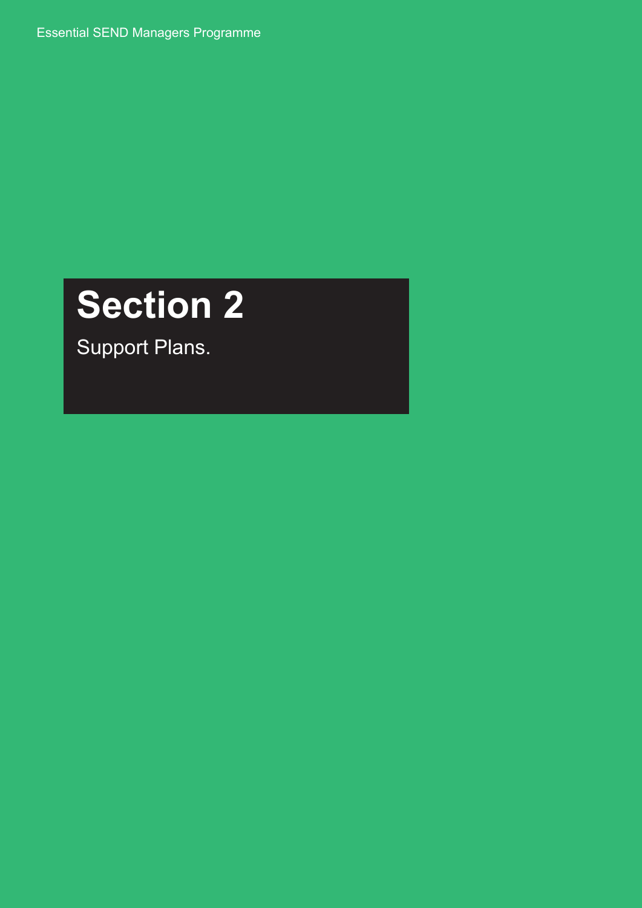Essential SEND Managers Programme

# **Section 2**

Support Plans.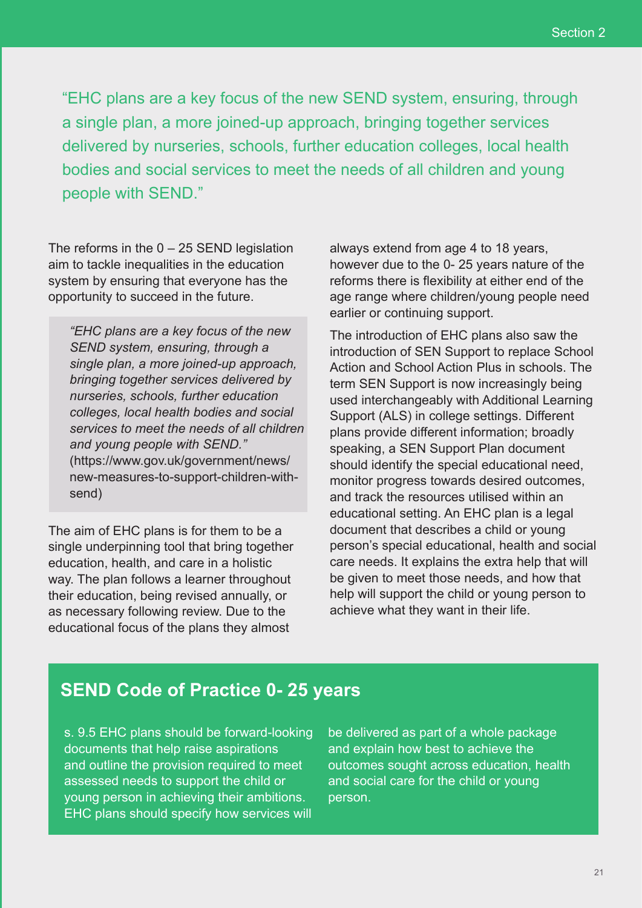"EHC plans are a key focus of the new SEND system, ensuring, through a single plan, a more joined-up approach, bringing together services delivered by nurseries, schools, further education colleges, local health bodies and social services to meet the needs of all children and young people with SEND."

The reforms in the  $0 - 25$  SEND legislation aim to tackle inequalities in the education system by ensuring that everyone has the opportunity to succeed in the future.

*"EHC plans are a key focus of the new SEND system, ensuring, through a single plan, a more joined-up approach, bringing together services delivered by nurseries, schools, further education colleges, local health bodies and social services to meet the needs of all children and young people with SEND."*  (https://www.gov.uk/government/news/ new-measures-to-support-children-withsend)

The aim of EHC plans is for them to be a single underpinning tool that bring together education, health, and care in a holistic way. The plan follows a learner throughout their education, being revised annually, or as necessary following review. Due to the educational focus of the plans they almost

always extend from age 4 to 18 years, however due to the 0- 25 years nature of the reforms there is flexibility at either end of the age range where children/young people need earlier or continuing support.

The introduction of EHC plans also saw the introduction of SEN Support to replace School Action and School Action Plus in schools. The term SEN Support is now increasingly being used interchangeably with Additional Learning Support (ALS) in college settings. Different plans provide different information; broadly speaking, a SEN Support Plan document should identify the special educational need, monitor progress towards desired outcomes, and track the resources utilised within an educational setting. An EHC plan is a legal document that describes a child or young person's special educational, health and social care needs. It explains the extra help that will be given to meet those needs, and how that help will support the child or young person to achieve what they want in their life.

## **SEND Code of Practice 0- 25 years**

s. 9.5 EHC plans should be forward-looking documents that help raise aspirations and outline the provision required to meet assessed needs to support the child or young person in achieving their ambitions. EHC plans should specify how services will be delivered as part of a whole package and explain how best to achieve the outcomes sought across education, health and social care for the child or young person.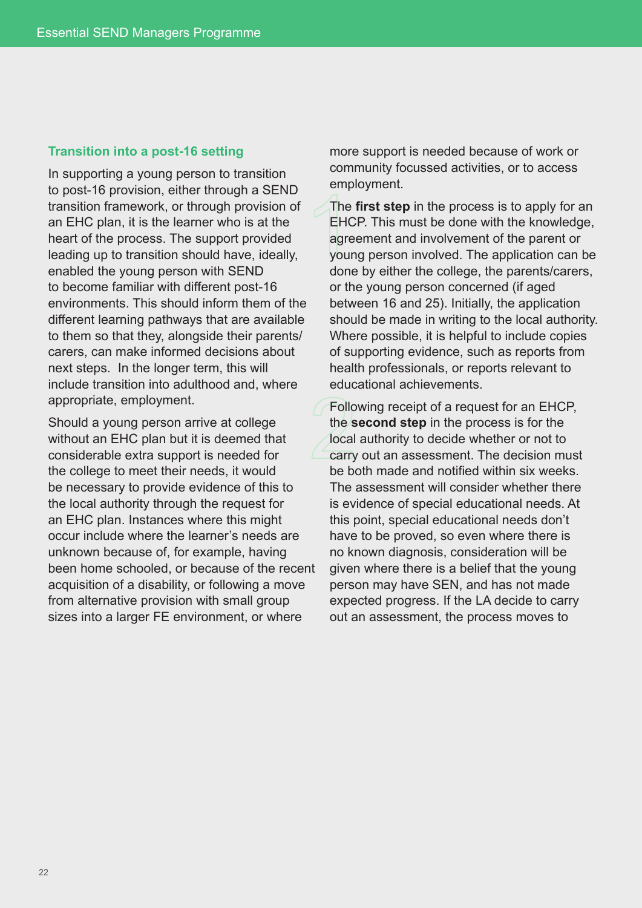#### **Transition into a post-16 setting**

In supporting a young person to transition to post-16 provision, either through a SEND transition framework, or through provision of an EHC plan, it is the learner who is at the heart of the process. The support provided leading up to transition should have, ideally, enabled the young person with SEND to become familiar with different post-16 environments. This should inform them of the different learning pathways that are available to them so that they, alongside their parents/ carers, can make informed decisions about next steps. In the longer term, this will include transition into adulthood and, where appropriate, employment.

Should a young person arrive at college without an EHC plan but it is deemed that considerable extra support is needed for the college to meet their needs, it would be necessary to provide evidence of this to the local authority through the request for an EHC plan. Instances where this might occur include where the learner's needs are unknown because of, for example, having been home schooled, or because of the recent acquisition of a disability, or following a move from alternative provision with small group sizes into a larger FE environment, or where

more support is needed because of work or community focussed activities, or to access employment.

The **first step** in the process is to apply for an EHCP. This must be done with the knowledge, agreement and involvement of the parent or young person involved. The application can be done by either the college, the parents/carers, or the young person concerned (if aged between 16 and 25). Initially, the application should be made in writing to the local authority. Where possible, it is helpful to include copies of supporting evidence, such as reports from health professionals, or reports relevant to educational achievements.

Following receipt of a request for an EHCP, the **second step** in the process is for the local authority to decide whether or not to carry out an assessment. The decision must be both made and notified within six weeks. The assessment will consider whether there is evidence of special educational needs. At this point, special educational needs don't have to be proved, so even where there is no known diagnosis, consideration will be given where there is a belief that the young person may have SEN, and has not made expected progress. If the LA decide to carry out an assessment, the process moves to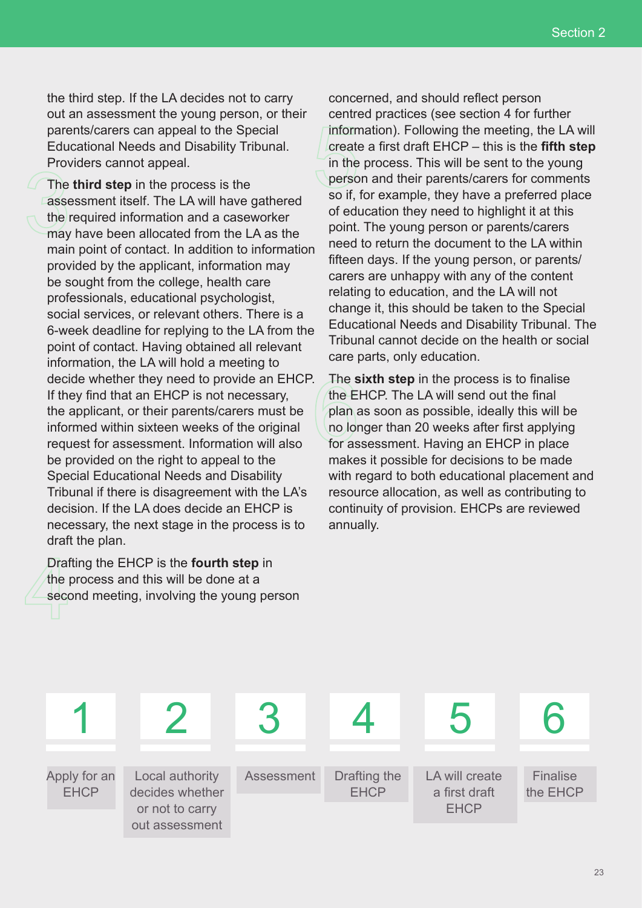the third step. If the LA decides not to carry out an assessment the young person, or their parents/carers can appeal to the Special Educational Needs and Disability Tribunal. Providers cannot appeal.

The **third step** in the process is the assessment itself. The LA will have gathered the required information and a caseworker may have been allocated from the LA as the main point of contact. In addition to information provided by the applicant, information may be sought from the college, health care professionals, educational psychologist, social services, or relevant others. There is a 6-week deadline for replying to the LA from the point of contact. Having obtained all relevant information, the LA will hold a meeting to decide whether they need to provide an EHCP. If they find that an EHCP is not necessary, the applicant, or their parents/carers must be informed within sixteen weeks of the original request for assessment. Information will also be provided on the right to appeal to the Special Educational Needs and Disability Tribunal if there is disagreement with the LA's decision. If the LA does decide an EHCP is necessary, the next stage in the process is to draft the plan.

Drafting the EHCP is the **fourth step** in the process and this will be done at a second meeting, involving the young person

concerned, and should reflect person centred practices (see section 4 for further information). Following the meeting, the LA will create a first draft EHCP – this is the **fifth step** in the process. This will be sent to the young person and their parents/carers for comments so if, for example, they have a preferred place of education they need to highlight it at this point. The young person or parents/carers need to return the document to the LA within fifteen days. If the young person, or parents/ carers are unhappy with any of the content relating to education, and the LA will not change it, this should be taken to the Special Educational Needs and Disability Tribunal. The Tribunal cannot decide on the health or social care parts, only education.

The **sixth step** in the process is to finalise the EHCP. The LA will send out the final plan as soon as possible, ideally this will be no longer than 20 weeks after first applying for assessment. Having an EHCP in place makes it possible for decisions to be made with regard to both educational placement and resource allocation, as well as contributing to continuity of provision. EHCPs are reviewed annually.

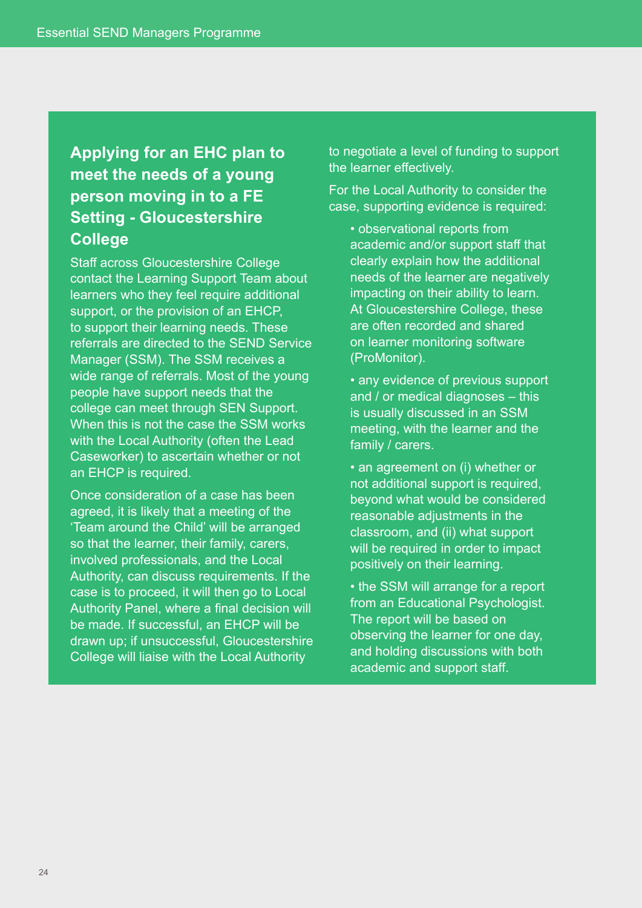# **Applying for an EHC plan to meet the needs of a young person moving in to a FE Setting - Gloucestershire College**

Staff across Gloucestershire College contact the Learning Support Team about learners who they feel require additional support, or the provision of an EHCP, to support their learning needs. These referrals are directed to the SEND Service Manager (SSM). The SSM receives a wide range of referrals. Most of the young people have support needs that the college can meet through SEN Support. When this is not the case the SSM works with the Local Authority (often the Lead Caseworker) to ascertain whether or not an EHCP is required.

Once consideration of a case has been agreed, it is likely that a meeting of the 'Team around the Child' will be arranged so that the learner, their family, carers, involved professionals, and the Local Authority, can discuss requirements. If the case is to proceed, it will then go to Local Authority Panel, where a final decision will be made. If successful, an EHCP will be drawn up; if unsuccessful, Gloucestershire College will liaise with the Local Authority

to negotiate a level of funding to support the learner effectively.

For the Local Authority to consider the case, supporting evidence is required:

• observational reports from academic and/or support staff that clearly explain how the additional needs of the learner are negatively impacting on their ability to learn. At Gloucestershire College, these are often recorded and shared on learner monitoring software (ProMonitor).

• any evidence of previous support and / or medical diagnoses – this is usually discussed in an SSM meeting, with the learner and the family / carers.

• an agreement on (i) whether or not additional support is required, beyond what would be considered reasonable adjustments in the classroom, and (ii) what support will be required in order to impact positively on their learning.

• the SSM will arrange for a report from an Educational Psychologist. The report will be based on observing the learner for one day, and holding discussions with both academic and support staff.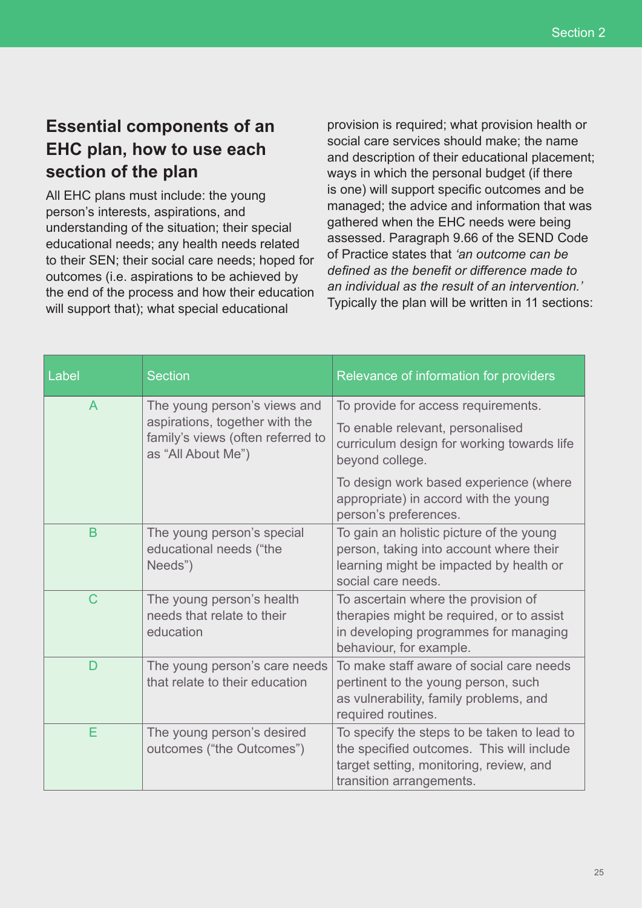# **Essential components of an EHC plan, how to use each section of the plan**

All EHC plans must include: the young person's interests, aspirations, and understanding of the situation; their special educational needs; any health needs related to their SEN; their social care needs; hoped for outcomes (i.e. aspirations to be achieved by the end of the process and how their education will support that); what special educational

provision is required; what provision health or social care services should make; the name and description of their educational placement; ways in which the personal budget (if there is one) will support specific outcomes and be managed; the advice and information that was gathered when the EHC needs were being assessed. Paragraph 9.66 of the SEND Code of Practice states that *'an outcome can be defined as the benefit or difference made to an individual as the result of an intervention.'*  Typically the plan will be written in 11 sections:

| Label          | <b>Section</b>                                                                            | Relevance of information for providers                                                                                                                          |
|----------------|-------------------------------------------------------------------------------------------|-----------------------------------------------------------------------------------------------------------------------------------------------------------------|
| $\overline{A}$ | The young person's views and                                                              | To provide for access requirements.                                                                                                                             |
|                | aspirations, together with the<br>family's views (often referred to<br>as "All About Me") | To enable relevant, personalised<br>curriculum design for working towards life<br>beyond college.                                                               |
|                |                                                                                           | To design work based experience (where<br>appropriate) in accord with the young<br>person's preferences.                                                        |
| B              | The young person's special<br>educational needs ("the<br>Needs")                          | To gain an holistic picture of the young<br>person, taking into account where their<br>learning might be impacted by health or<br>social care needs.            |
| $\mathsf{C}$   | The young person's health<br>needs that relate to their<br>education                      | To ascertain where the provision of<br>therapies might be required, or to assist<br>in developing programmes for managing<br>behaviour, for example.            |
| D              | The young person's care needs<br>that relate to their education                           | To make staff aware of social care needs<br>pertinent to the young person, such<br>as vulnerability, family problems, and<br>required routines.                 |
| Е              | The young person's desired<br>outcomes ("the Outcomes")                                   | To specify the steps to be taken to lead to<br>the specified outcomes. This will include<br>target setting, monitoring, review, and<br>transition arrangements. |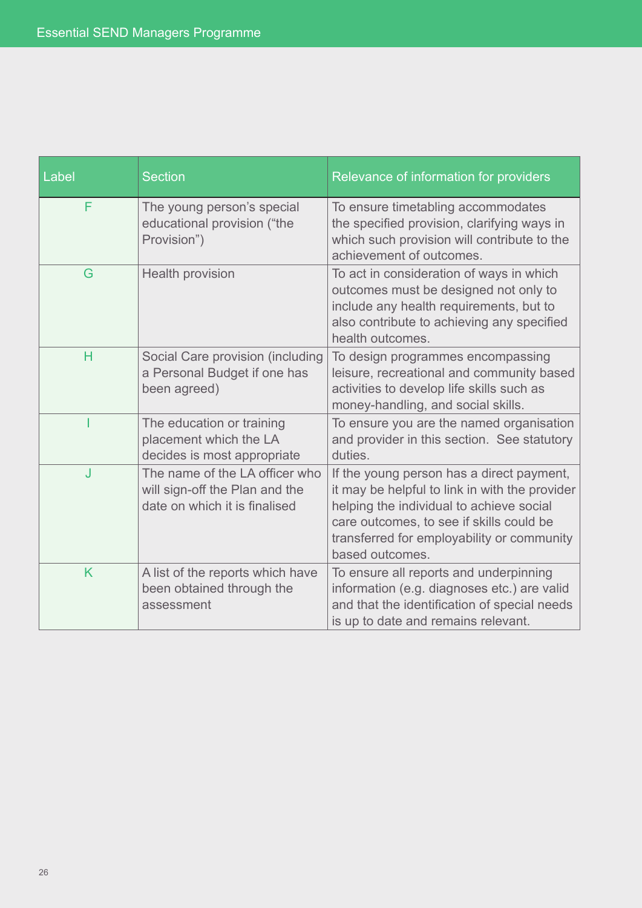| Label | <b>Section</b>                                                                                    | Relevance of information for providers                                                                                                                                                                                                               |
|-------|---------------------------------------------------------------------------------------------------|------------------------------------------------------------------------------------------------------------------------------------------------------------------------------------------------------------------------------------------------------|
| F     | The young person's special<br>educational provision ("the<br>Provision")                          | To ensure timetabling accommodates<br>the specified provision, clarifying ways in<br>which such provision will contribute to the<br>achievement of outcomes.                                                                                         |
| G     | Health provision                                                                                  | To act in consideration of ways in which<br>outcomes must be designed not only to<br>include any health requirements, but to<br>also contribute to achieving any specified<br>health outcomes.                                                       |
| H     | Social Care provision (including<br>a Personal Budget if one has<br>been agreed)                  | To design programmes encompassing<br>leisure, recreational and community based<br>activities to develop life skills such as<br>money-handling, and social skills.                                                                                    |
|       | The education or training<br>placement which the LA<br>decides is most appropriate                | To ensure you are the named organisation<br>and provider in this section. See statutory<br>duties.                                                                                                                                                   |
| J     | The name of the LA officer who<br>will sign-off the Plan and the<br>date on which it is finalised | If the young person has a direct payment,<br>it may be helpful to link in with the provider<br>helping the individual to achieve social<br>care outcomes, to see if skills could be<br>transferred for employability or community<br>based outcomes. |
| K     | A list of the reports which have<br>been obtained through the<br>assessment                       | To ensure all reports and underpinning<br>information (e.g. diagnoses etc.) are valid<br>and that the identification of special needs<br>is up to date and remains relevant.                                                                         |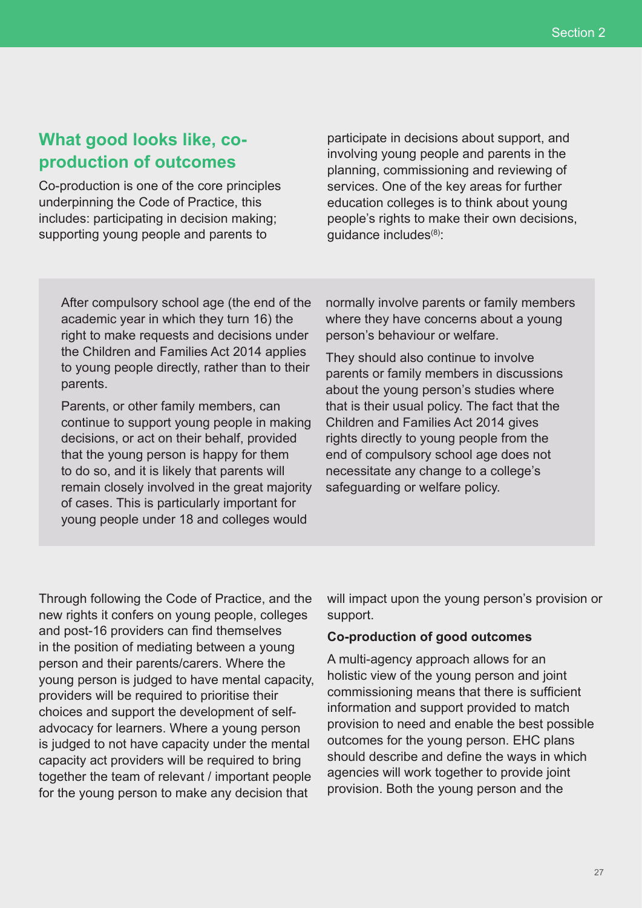# **What good looks like, coproduction of outcomes**

Co-production is one of the core principles underpinning the Code of Practice, this includes: participating in decision making; supporting young people and parents to

participate in decisions about support, and involving young people and parents in the planning, commissioning and reviewing of services. One of the key areas for further education colleges is to think about young people's rights to make their own decisions, quidance includes<sup>(8)</sup>:

After compulsory school age (the end of the academic year in which they turn 16) the right to make requests and decisions under the Children and Families Act 2014 applies to young people directly, rather than to their parents.

Parents, or other family members, can continue to support young people in making decisions, or act on their behalf, provided that the young person is happy for them to do so, and it is likely that parents will remain closely involved in the great majority of cases. This is particularly important for young people under 18 and colleges would

normally involve parents or family members where they have concerns about a young person's behaviour or welfare.

They should also continue to involve parents or family members in discussions about the young person's studies where that is their usual policy. The fact that the Children and Families Act 2014 gives rights directly to young people from the end of compulsory school age does not necessitate any change to a college's safeguarding or welfare policy.

Through following the Code of Practice, and the new rights it confers on young people, colleges and post-16 providers can find themselves in the position of mediating between a young person and their parents/carers. Where the young person is judged to have mental capacity, providers will be required to prioritise their choices and support the development of selfadvocacy for learners. Where a young person is judged to not have capacity under the mental capacity act providers will be required to bring together the team of relevant / important people for the young person to make any decision that

will impact upon the young person's provision or support.

#### **Co-production of good outcomes**

A multi-agency approach allows for an holistic view of the young person and joint commissioning means that there is sufficient information and support provided to match provision to need and enable the best possible outcomes for the young person. EHC plans should describe and define the ways in which agencies will work together to provide joint provision. Both the young person and the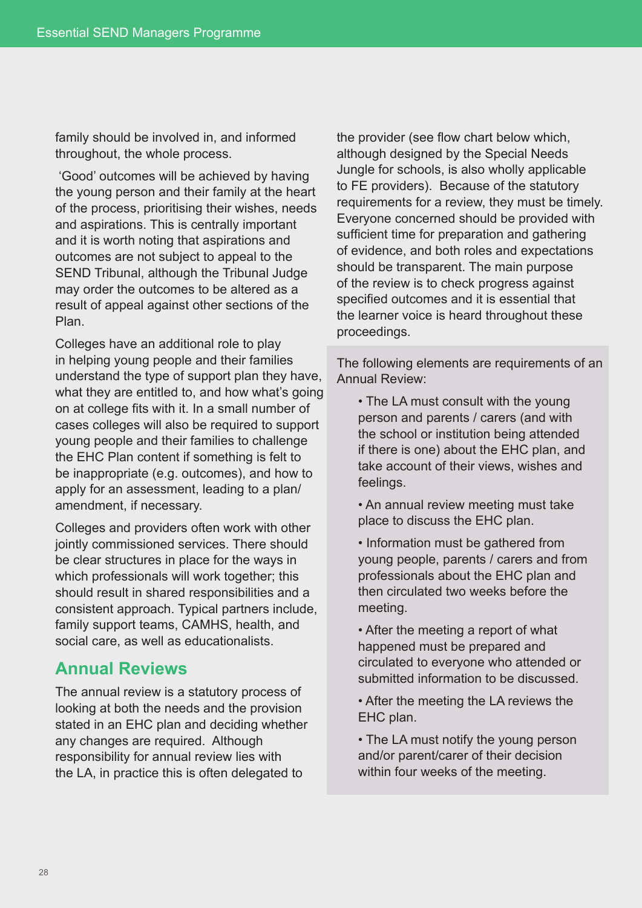family should be involved in, and informed throughout, the whole process.

 'Good' outcomes will be achieved by having the young person and their family at the heart of the process, prioritising their wishes, needs and aspirations. This is centrally important and it is worth noting that aspirations and outcomes are not subject to appeal to the SEND Tribunal, although the Tribunal Judge may order the outcomes to be altered as a result of appeal against other sections of the Plan.

Colleges have an additional role to play in helping young people and their families understand the type of support plan they have, what they are entitled to, and how what's going on at college fits with it. In a small number of cases colleges will also be required to support young people and their families to challenge the EHC Plan content if something is felt to be inappropriate (e.g. outcomes), and how to apply for an assessment, leading to a plan/ amendment, if necessary.

Colleges and providers often work with other jointly commissioned services. There should be clear structures in place for the ways in which professionals will work together; this should result in shared responsibilities and a consistent approach. Typical partners include, family support teams, CAMHS, health, and social care, as well as educationalists.

## **Annual Reviews**

The annual review is a statutory process of looking at both the needs and the provision stated in an EHC plan and deciding whether any changes are required. Although responsibility for annual review lies with the LA, in practice this is often delegated to

the provider (see flow chart below which, although designed by the Special Needs Jungle for schools, is also wholly applicable to FE providers). Because of the statutory requirements for a review, they must be timely. Everyone concerned should be provided with sufficient time for preparation and gathering of evidence, and both roles and expectations should be transparent. The main purpose of the review is to check progress against specified outcomes and it is essential that the learner voice is heard throughout these proceedings.

The following elements are requirements of an Annual Review:

- The LA must consult with the young person and parents / carers (and with the school or institution being attended if there is one) about the EHC plan, and take account of their views, wishes and feelings.
- An annual review meeting must take place to discuss the EHC plan.
- Information must be gathered from young people, parents / carers and from professionals about the EHC plan and then circulated two weeks before the meeting.
- After the meeting a report of what happened must be prepared and circulated to everyone who attended or submitted information to be discussed.
- After the meeting the LA reviews the EHC plan.
- The LA must notify the young person and/or parent/carer of their decision within four weeks of the meeting.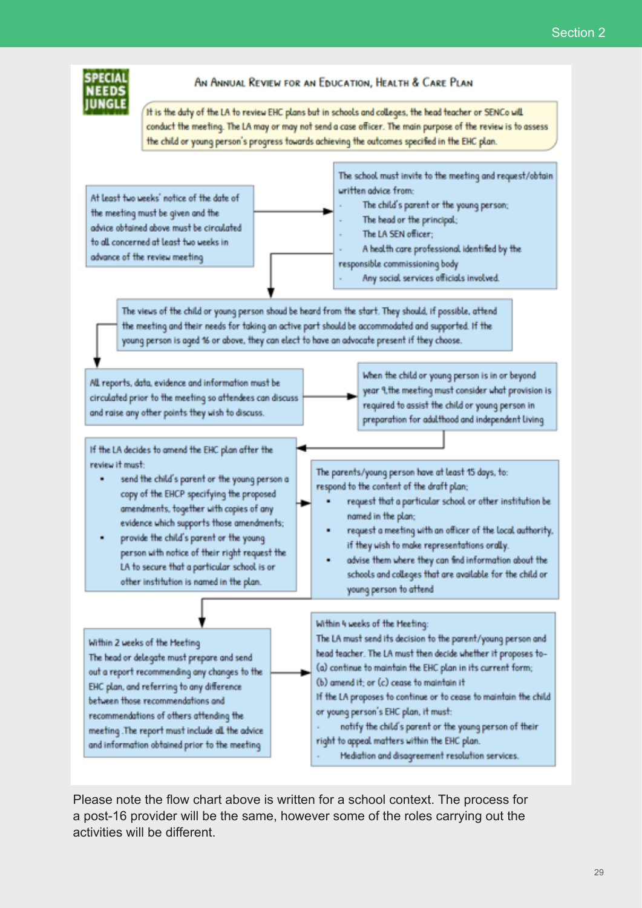

#### AN ANNUAL REVIEW FOR AN EDUCATION. HEALTH & CARE PLAN

It is the duty of the LA to review EHC plans but in schools and colleges, the head teacher or SENCo will conduct the meeting. The LA may or may not send a case officer. The main purpose of the review is to assess the child or young person's progress towards achieving the outcomes specified in the EHC plan.

written advice from: At least two weeks' notice of the date of The child's parent or the young person; the meeting must be given and the The head or the principal: advice obtained above must be circulated The LA SEN officer: to all concerned at least two weeks in A health care professional identified by the advance of the review meeting responsible commissioning body Any social services officials involved.

The views of the child or young person shoud be heard from the start. They should, if possible, attend the meeting and their needs for taking an active part should be accommodated and supported. If the young person is aged 16 or above, they can elect to have an advocate present if they choose.

All reports, data, evidence and information must be circulated prior to the meeting so attendees can discuss and raise any other points they wish to discuss.

If the LA decides to amend the EHC plan after the review it must:

- send the child's parent or the young person a copy of the EHCP specifying the proposed amendments, together with copies of any evidence which supports those amendments;
- provide the child's parent or the young person with notice of their right request the LA to secure that a particular school is or other institution is named in the plan.

Within 2 weeks of the Meeting The head or delegate must prepare and send out a report recommending any changes to the EHC plan, and referring to any difference between those recommendations and recommendations of others attending the meeting. The report must include all the advice and information obtained prior to the meeting

When the child or young person is in or beyond year 9, the meeting must consider what provision is required to assist the child or young person in preparation for adulthood and independent living

The school must invite to the meeting and request/obtain

The parents/young person have at least 15 days, to: respond to the content of the draft plan;

- request that a particular school or other institution be named in the plan:
- request a meeting with an officer of the local authority, if they wish to make representations orally.
- advise them where they can find information about the schools and colleges that are available for the child or young person to attend

Within 4 weeks of the Meeting:

The LA must send its decision to the parent/young person and head teacher. The LA must then decide whether it proposes to-(a) continue to maintain the EHC plan in its current form; (b) amend it: or (c) cease to maintain it If the LA proposes to continue or to cease to maintain the child or young person's EHC plan, it must: notify the child's parent or the young person of their right to appeal matters within the EHC plan.

Mediation and disagreement resolution services.

Please note the flow chart above is written for a school context. The process for a post-16 provider will be the same, however some of the roles carrying out the activities will be different.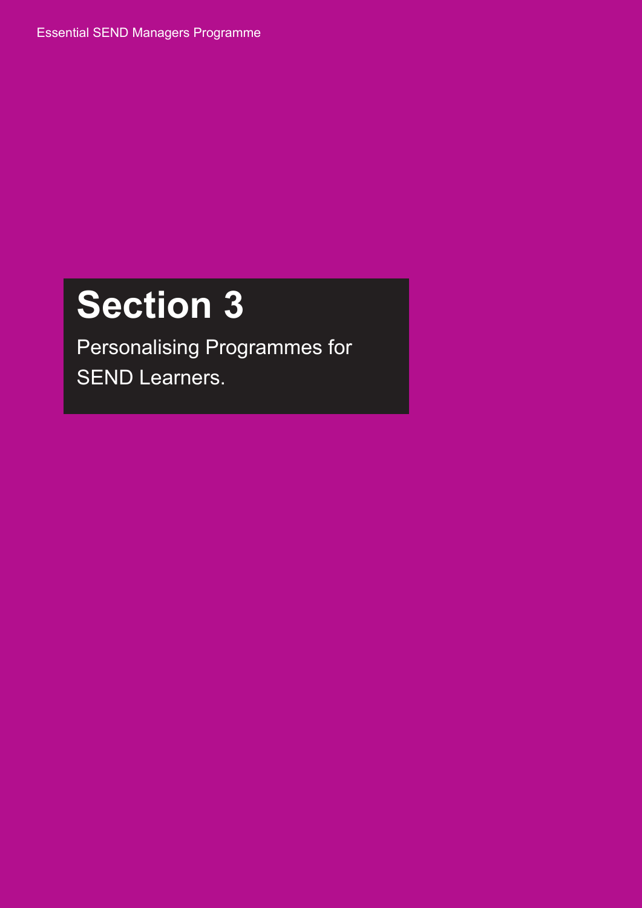Essential SEND Managers Programme

# **Section 3**

Personalising Programmes for SEND Learners.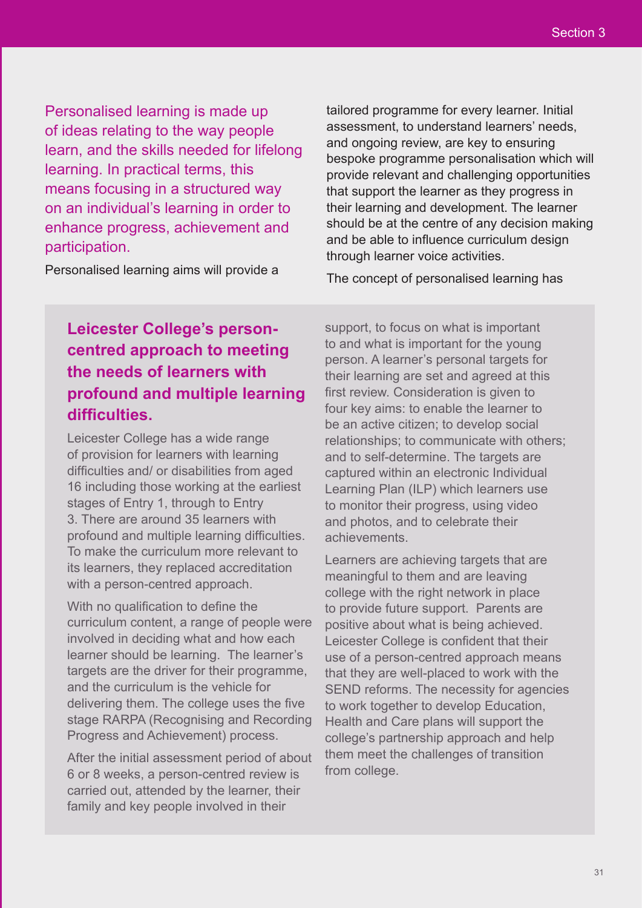Personalised learning is made up of ideas relating to the way people learn, and the skills needed for lifelong learning. In practical terms, this means focusing in a structured way on an individual's learning in order to enhance progress, achievement and participation.

tailored programme for every learner. Initial assessment, to understand learners' needs, and ongoing review, are key to ensuring bespoke programme personalisation which will provide relevant and challenging opportunities that support the learner as they progress in their learning and development. The learner should be at the centre of any decision making and be able to influence curriculum design through learner voice activities.

Personalised learning aims will provide a

The concept of personalised learning has

# **Leicester College's personcentred approach to meeting the needs of learners with profound and multiple learning difficulties.**

Leicester College has a wide range of provision for learners with learning difficulties and/ or disabilities from aged 16 including those working at the earliest stages of Entry 1, through to Entry 3. There are around 35 learners with profound and multiple learning difficulties. To make the curriculum more relevant to its learners, they replaced accreditation with a person-centred approach.

With no qualification to define the curriculum content, a range of people were involved in deciding what and how each learner should be learning. The learner's targets are the driver for their programme. and the curriculum is the vehicle for delivering them. The college uses the five stage RARPA (Recognising and Recording Progress and Achievement) process.

After the initial assessment period of about 6 or 8 weeks, a person-centred review is carried out, attended by the learner, their family and key people involved in their

support, to focus on what is important to and what is important for the young person. A learner's personal targets for their learning are set and agreed at this first review. Consideration is given to four key aims: to enable the learner to be an active citizen; to develop social relationships; to communicate with others; and to self-determine. The targets are captured within an electronic Individual Learning Plan (ILP) which learners use to monitor their progress, using video and photos, and to celebrate their achievements.

Learners are achieving targets that are meaningful to them and are leaving college with the right network in place to provide future support. Parents are positive about what is being achieved. Leicester College is confident that their use of a person-centred approach means that they are well-placed to work with the SEND reforms. The necessity for agencies to work together to develop Education, Health and Care plans will support the college's partnership approach and help them meet the challenges of transition from college.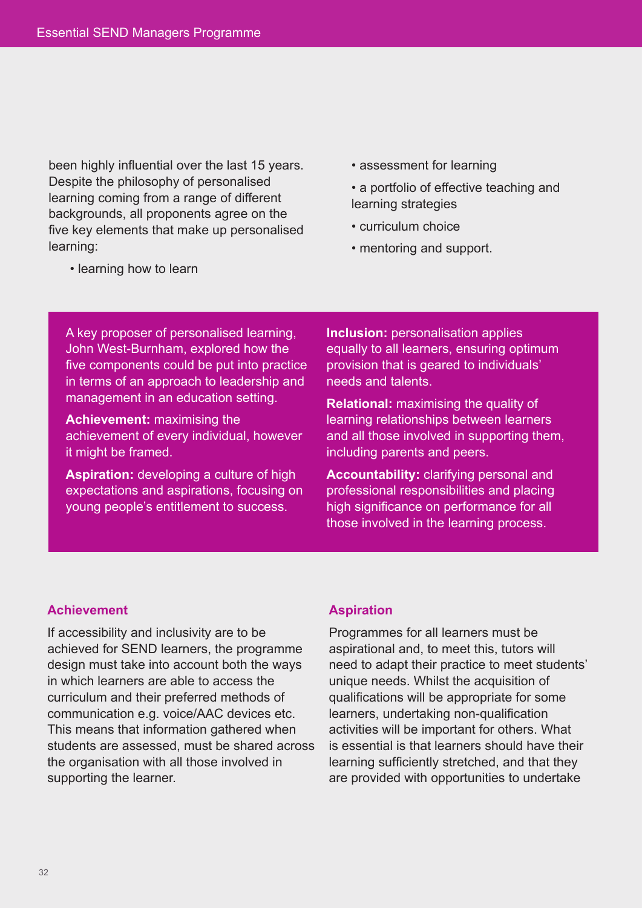been highly influential over the last 15 years. Despite the philosophy of personalised learning coming from a range of different backgrounds, all proponents agree on the five key elements that make up personalised learning:

- assessment for learning
- a portfolio of effective teaching and learning strategies
- curriculum choice
- mentoring and support.

A key proposer of personalised learning,

• learning how to learn

John West-Burnham, explored how the five components could be put into practice in terms of an approach to leadership and management in an education setting.

**Achievement:** maximising the achievement of every individual, however it might be framed.

**Aspiration:** developing a culture of high expectations and aspirations, focusing on young people's entitlement to success.

**Inclusion:** personalisation applies equally to all learners, ensuring optimum provision that is geared to individuals' needs and talents.

**Relational:** maximising the quality of learning relationships between learners and all those involved in supporting them, including parents and peers.

**Accountability:** clarifying personal and professional responsibilities and placing high significance on performance for all those involved in the learning process.

#### **Achievement**

If accessibility and inclusivity are to be achieved for SEND learners, the programme design must take into account both the ways in which learners are able to access the curriculum and their preferred methods of communication e.g. voice/AAC devices etc. This means that information gathered when students are assessed, must be shared across the organisation with all those involved in supporting the learner.

#### **Aspiration**

Programmes for all learners must be aspirational and, to meet this, tutors will need to adapt their practice to meet students' unique needs. Whilst the acquisition of qualifications will be appropriate for some learners, undertaking non-qualification activities will be important for others. What is essential is that learners should have their learning sufficiently stretched, and that they are provided with opportunities to undertake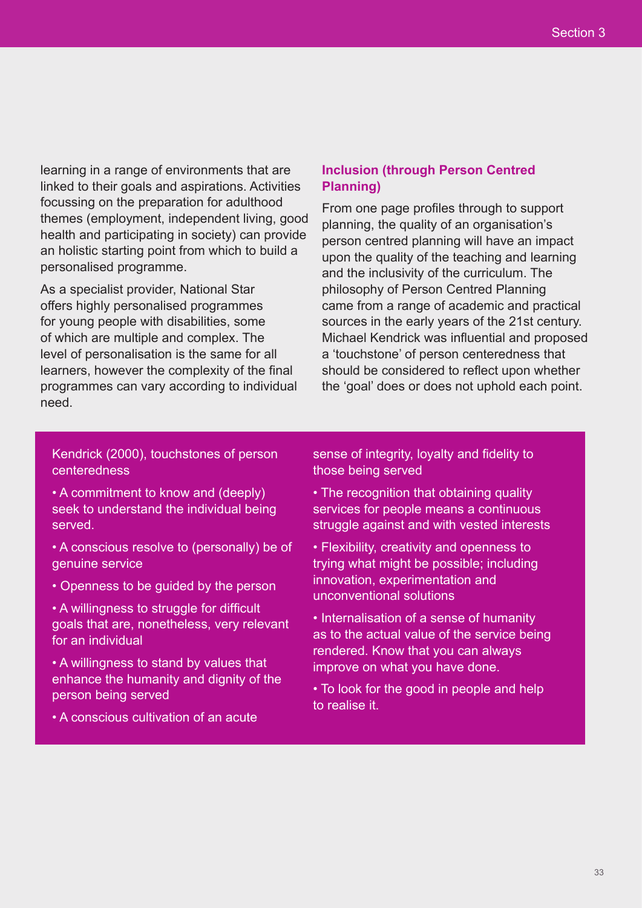learning in a range of environments that are linked to their goals and aspirations. Activities focussing on the preparation for adulthood themes (employment, independent living, good health and participating in society) can provide an holistic starting point from which to build a personalised programme.

As a specialist provider, National Star offers highly personalised programmes for young people with disabilities, some of which are multiple and complex. The level of personalisation is the same for all learners, however the complexity of the final programmes can vary according to individual need.

### **Inclusion (through Person Centred Planning)**

From one page profiles through to support planning, the quality of an organisation's person centred planning will have an impact upon the quality of the teaching and learning and the inclusivity of the curriculum. The philosophy of Person Centred Planning came from a range of academic and practical sources in the early years of the 21st century. Michael Kendrick was influential and proposed a 'touchstone' of person centeredness that should be considered to reflect upon whether the 'goal' does or does not uphold each point.

Kendrick (2000), touchstones of person centeredness

- A commitment to know and (deeply) seek to understand the individual being served.
- A conscious resolve to (personally) be of genuine service
- Openness to be guided by the person

• A willingness to struggle for difficult goals that are, nonetheless, very relevant for an individual

• A willingness to stand by values that enhance the humanity and dignity of the person being served

• A conscious cultivation of an acute

sense of integrity, loyalty and fidelity to those being served

- The recognition that obtaining quality services for people means a continuous struggle against and with vested interests
- Flexibility, creativity and openness to trying what might be possible; including innovation, experimentation and unconventional solutions
- Internalisation of a sense of humanity as to the actual value of the service being rendered. Know that you can always improve on what you have done.
- To look for the good in people and help to realise it.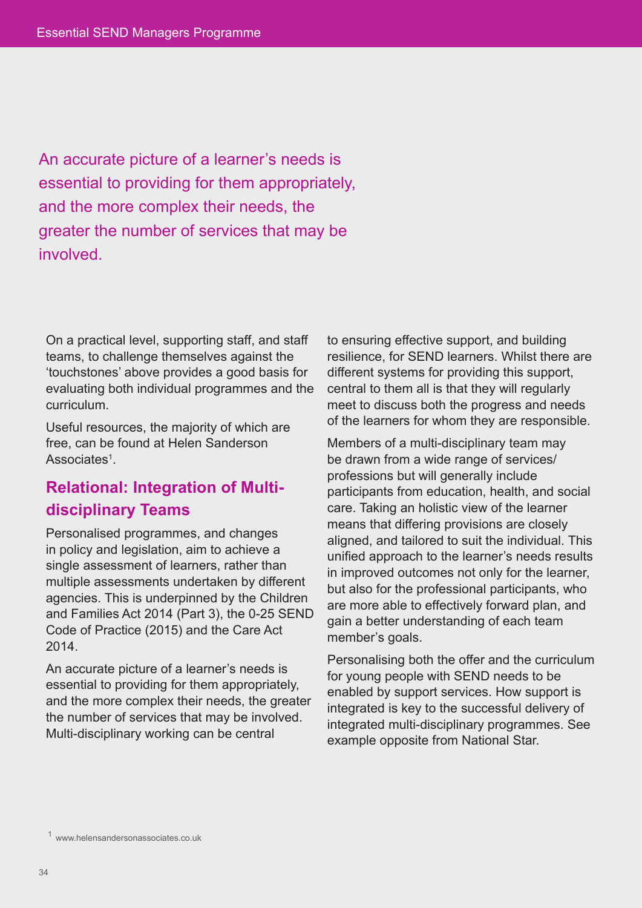An accurate picture of a learner's needs is essential to providing for them appropriately, and the more complex their needs, the greater the number of services that may be **involved** 

On a practical level, supporting staff, and staff teams, to challenge themselves against the 'touchstones' above provides a good basis for evaluating both individual programmes and the curriculum.

Useful resources, the majority of which are free, can be found at Helen Sanderson Associates<sup>1</sup>.

# **Relational: Integration of Multidisciplinary Teams**

Personalised programmes, and changes in policy and legislation, aim to achieve a single assessment of learners, rather than multiple assessments undertaken by different agencies. This is underpinned by the Children and Families Act 2014 (Part 3), the 0-25 SEND Code of Practice (2015) and the Care Act 2014.

An accurate picture of a learner's needs is essential to providing for them appropriately, and the more complex their needs, the greater the number of services that may be involved. Multi-disciplinary working can be central

to ensuring effective support, and building resilience, for SEND learners. Whilst there are different systems for providing this support, central to them all is that they will regularly meet to discuss both the progress and needs of the learners for whom they are responsible.

Members of a multi-disciplinary team may be drawn from a wide range of services/ professions but will generally include participants from education, health, and social care. Taking an holistic view of the learner means that differing provisions are closely aligned, and tailored to suit the individual. This unified approach to the learner's needs results in improved outcomes not only for the learner, but also for the professional participants, who are more able to effectively forward plan, and gain a better understanding of each team member's goals.

Personalising both the offer and the curriculum for young people with SEND needs to be enabled by support services. How support is integrated is key to the successful delivery of integrated multi-disciplinary programmes. See example opposite from National Star.

<sup>1</sup> www.helensandersonassociates.co.uk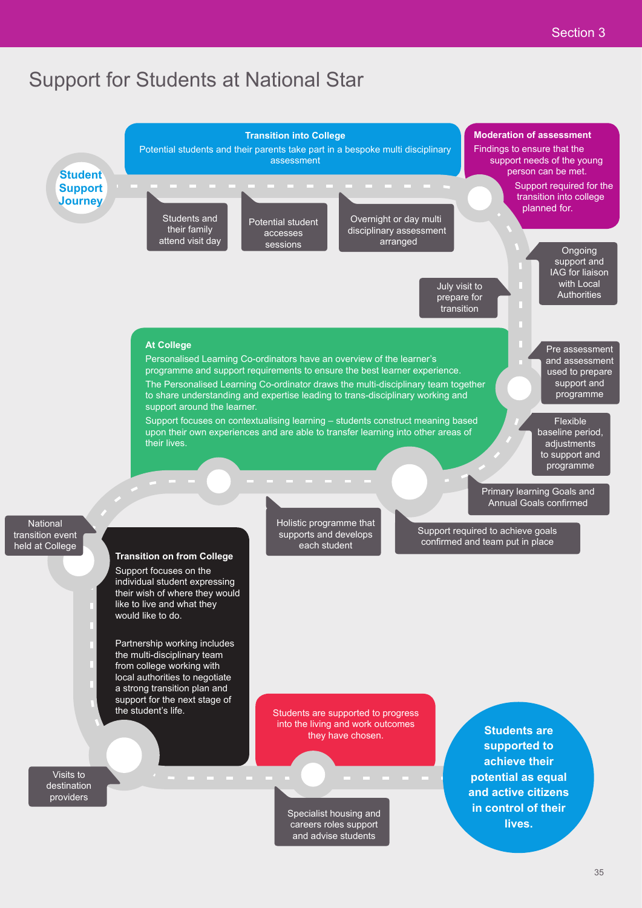# Support for Students at National Star

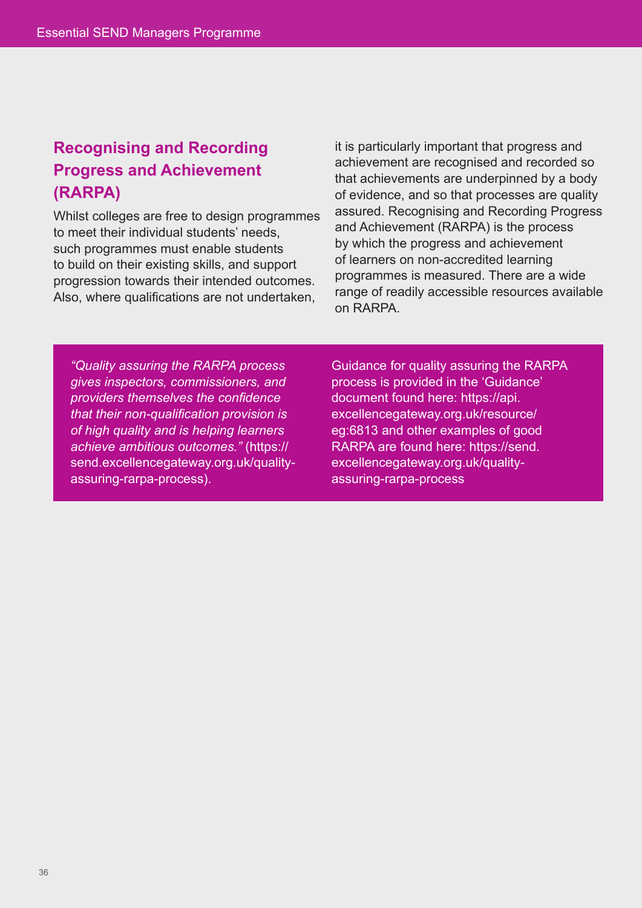# **Recognising and Recording Progress and Achievement (RARPA)**

Whilst colleges are free to design programmes to meet their individual students' needs, such programmes must enable students to build on their existing skills, and support progression towards their intended outcomes. Also, where qualifications are not undertaken,

it is particularly important that progress and achievement are recognised and recorded so that achievements are underpinned by a body of evidence, and so that processes are quality assured. Recognising and Recording Progress and Achievement (RARPA) is the process by which the progress and achievement of learners on non-accredited learning programmes is measured. There are a wide range of readily accessible resources available on RARPA.

*"Quality assuring the RARPA process gives inspectors, commissioners, and providers themselves the confidence that their non-qualification provision is of high quality and is helping learners achieve ambitious outcomes."* (https:// send.excellencegateway.org.uk/qualityassuring-rarpa-process).

Guidance for quality assuring the RARPA process is provided in the 'Guidance' document found here: https://api. excellencegateway.org.uk/resource/ eg:6813 and other examples of good RARPA are found here: https://send. excellencegateway.org.uk/qualityassuring-rarpa-process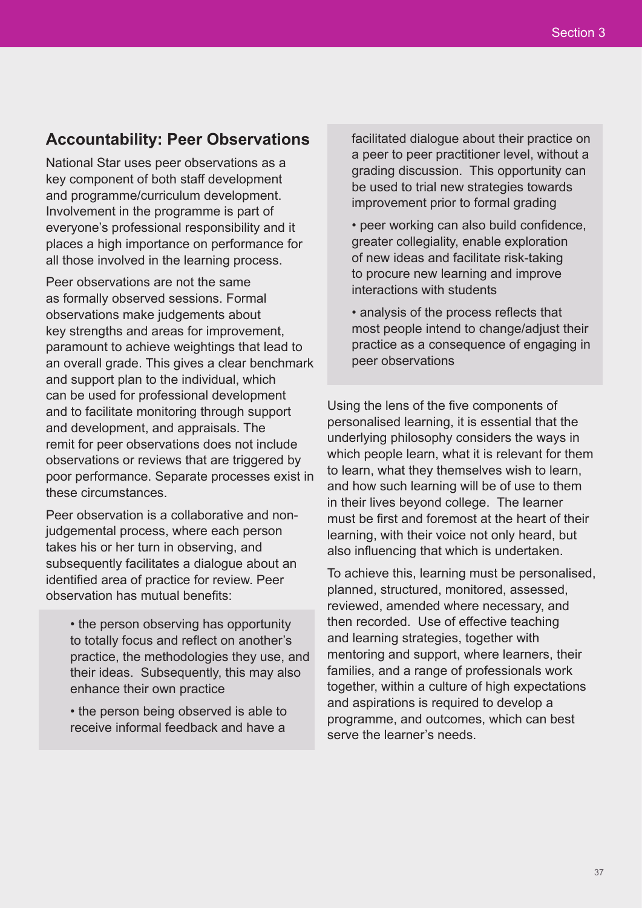## **Accountability: Peer Observations**

National Star uses peer observations as a key component of both staff development and programme/curriculum development. Involvement in the programme is part of everyone's professional responsibility and it places a high importance on performance for all those involved in the learning process.

Peer observations are not the same as formally observed sessions. Formal observations make judgements about key strengths and areas for improvement, paramount to achieve weightings that lead to an overall grade. This gives a clear benchmark and support plan to the individual, which can be used for professional development and to facilitate monitoring through support and development, and appraisals. The remit for peer observations does not include observations or reviews that are triggered by poor performance. Separate processes exist in these circumstances.

Peer observation is a collaborative and nonjudgemental process, where each person takes his or her turn in observing, and subsequently facilitates a dialogue about an identified area of practice for review. Peer observation has mutual benefits:

• the person observing has opportunity to totally focus and reflect on another's practice, the methodologies they use, and their ideas. Subsequently, this may also enhance their own practice

• the person being observed is able to receive informal feedback and have a

facilitated dialogue about their practice on a peer to peer practitioner level, without a grading discussion. This opportunity can be used to trial new strategies towards improvement prior to formal grading

• peer working can also build confidence, greater collegiality, enable exploration of new ideas and facilitate risk-taking to procure new learning and improve interactions with students

• analysis of the process reflects that most people intend to change/adjust their practice as a consequence of engaging in peer observations

Using the lens of the five components of personalised learning, it is essential that the underlying philosophy considers the ways in which people learn, what it is relevant for them to learn, what they themselves wish to learn, and how such learning will be of use to them in their lives beyond college. The learner must be first and foremost at the heart of their learning, with their voice not only heard, but also influencing that which is undertaken.

To achieve this, learning must be personalised, planned, structured, monitored, assessed, reviewed, amended where necessary, and then recorded. Use of effective teaching and learning strategies, together with mentoring and support, where learners, their families, and a range of professionals work together, within a culture of high expectations and aspirations is required to develop a programme, and outcomes, which can best serve the learner's needs.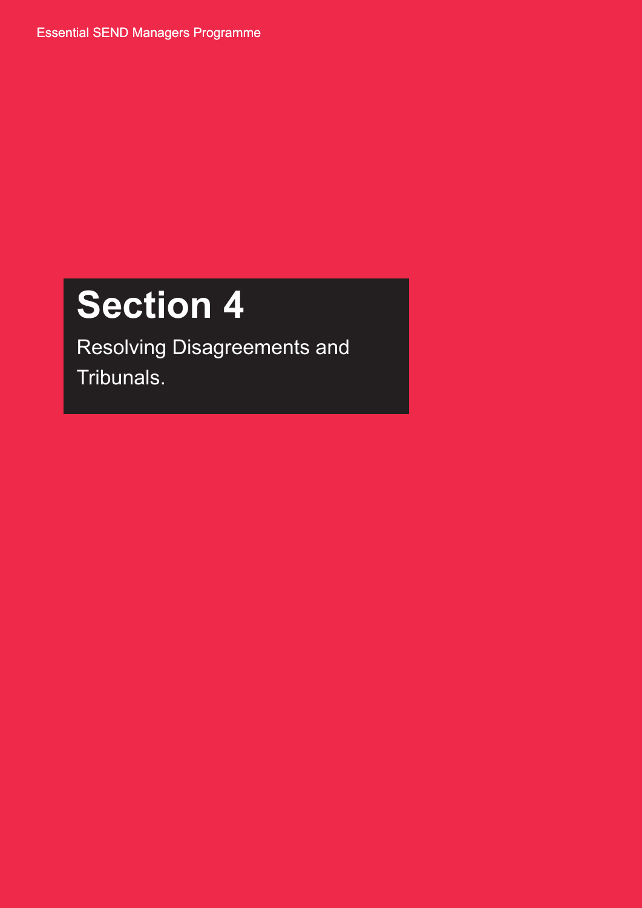Essential SEND Managers Programme

# **Section 4**

Resolving Disagreements and Tribunals.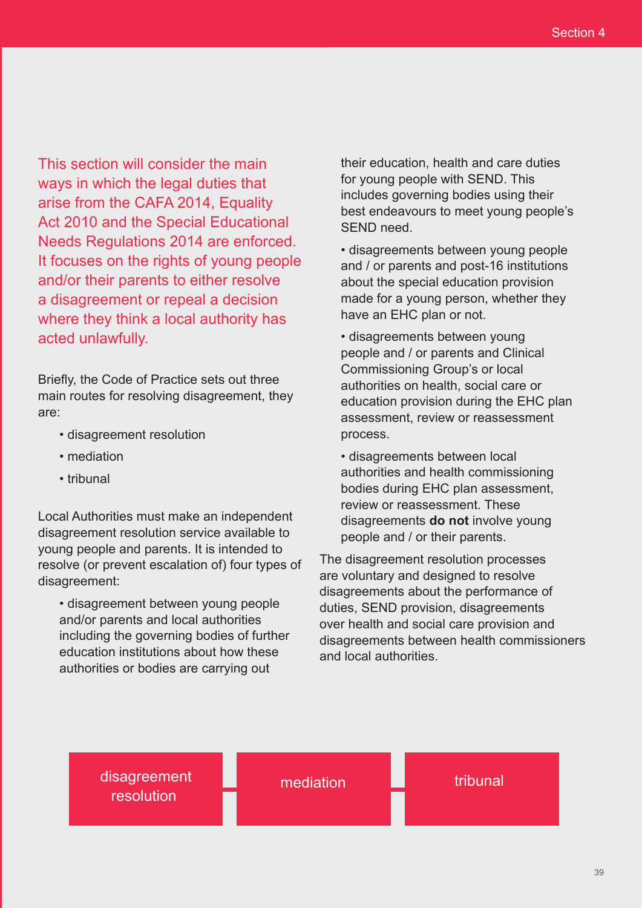This section will consider the main ways in which the legal duties that arise from the CAFA 2014, Equality Act 2010 and the Special Educational Needs Regulations 2014 are enforced. It focuses on the rights of young people and/or their parents to either resolve a disagreement or repeal a decision where they think a local authority has acted unlawfully. Section 4<br>
Section 4<br>
Section 4<br>
Section 4<br>
which the legal didies that<br>
the CAFA 2014, Equality<br>
in the CAFA 2014, Equality<br>
and the special Educational best endeavous to meet young people<br>
solving in the CAFA 2014, Equal

Briefly, the Code of Practice sets out three main routes for resolving disagreement, they are:

- disagreement resolution
- mediation
- tribunal

Local Authorities must make an independent disagreement resolution service available to young people and parents. It is intended to resolve (or prevent escalation of) four types of disagreement:

• disagreement between young people and/or parents and local authorities including the governing bodies of further education institutions about how these authorities or bodies are carrying out

their education, health and care duties for young people with SEND. This includes governing bodies using their best endeavours to meet young people's SEND need.

• disagreements between young people and / or parents and post-16 institutions about the special education provision made for a young person, whether they have an EHC plan or not.

• disagreements between young people and / or parents and Clinical Commissioning Group's or local authorities on health, social care or education provision during the EHC plan assessment, review or reassessment process.

• disagreements between local authorities and health commissioning bodies during EHC plan assessment, review or reassessment. These disagreements **do not** involve young people and / or their parents.

The disagreement resolution processes are voluntary and designed to resolve disagreements about the performance of duties, SEND provision, disagreements over health and social care provision and disagreements between health commissioners and local authorities.

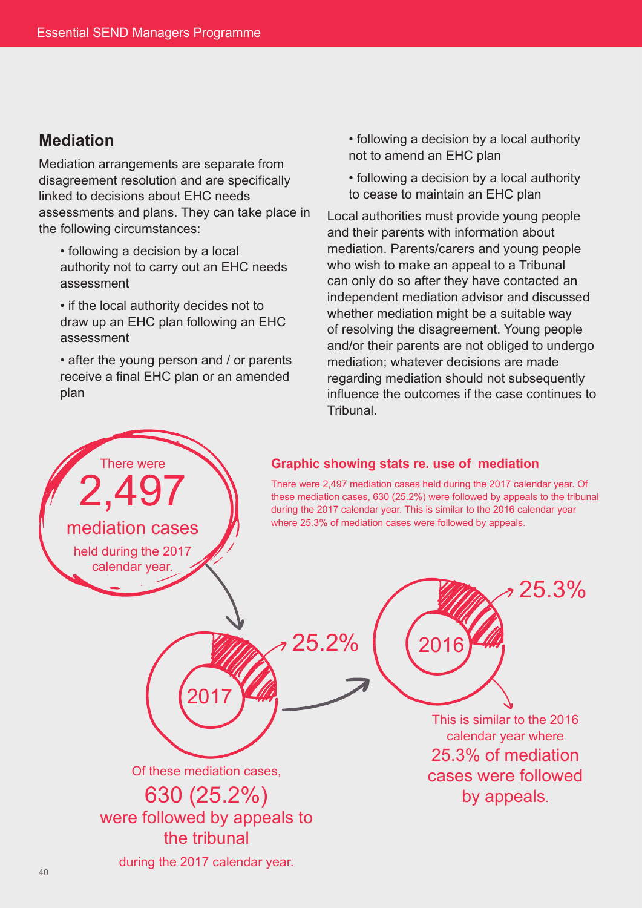## **Mediation**

Mediation arrangements are separate from disagreement resolution and are specifically linked to decisions about EHC needs assessments and plans. They can take place in the following circumstances:

- following a decision by a local authority not to carry out an EHC needs assessment
- if the local authority decides not to draw up an EHC plan following an EHC assessment
- after the young person and / or parents receive a final EHC plan or an amended plan

There were

2,497

mediation cases

held during the 2017 calendar year.

- following a decision by a local authority not to amend an EHC plan
- following a decision by a local authority to cease to maintain an EHC plan

Local authorities must provide young people and their parents with information about mediation. Parents/carers and young people who wish to make an appeal to a Tribunal can only do so after they have contacted an independent mediation advisor and discussed whether mediation might be a suitable way of resolving the disagreement. Young people and/or their parents are not obliged to undergo mediation; whatever decisions are made regarding mediation should not subsequently influence the outcomes if the case continues to **Tribunal** 

#### **Graphic showing stats re. use of mediation**

There were 2,497 mediation cases held during the 2017 calendar year. Of these mediation cases, 630 (25.2%) were followed by appeals to the tribunal during the 2017 calendar year. This is similar to the 2016 calendar year where 25.3% of mediation cases were followed by appeals.

2016

25.2%

Of these mediation cases, 630 (25.2%) were followed by appeals to

This is similar to the 2016 calendar year where 25.3% of mediation cases were followed by appeals.

25.3%

during the 2017 calendar year.

the tribunal

2017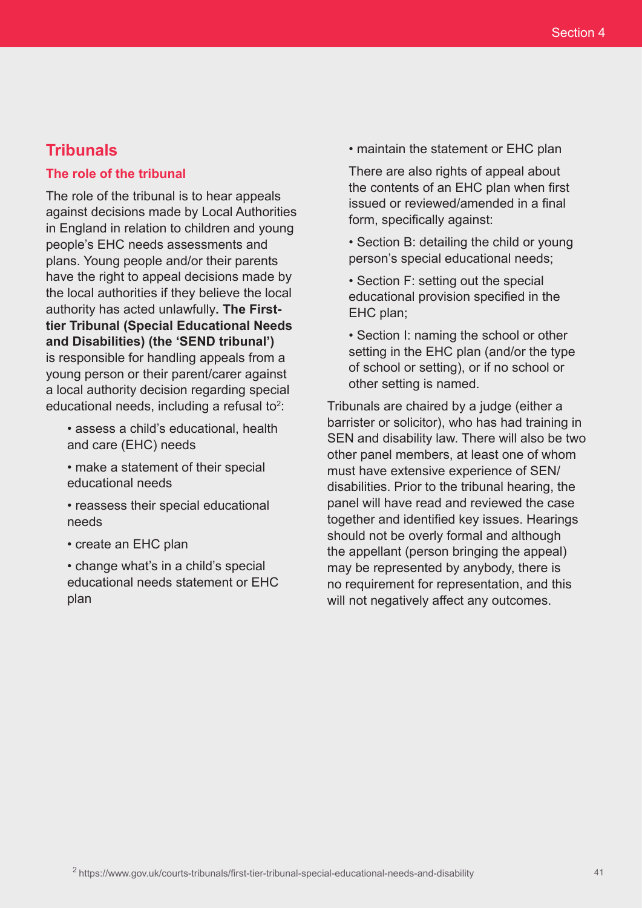## **Tribunals**

#### **The role of the tribunal**

The role of the tribunal is to hear appeals against decisions made by Local Authorities in England in relation to children and young people's EHC needs assessments and plans. Young people and/or their parents have the right to appeal decisions made by the local authorities if they believe the local authority has acted unlawfully**. The Firsttier Tribunal (Special Educational Needs and Disabilities) (the 'SEND tribunal')** is responsible for handling appeals from a young person or their parent/carer against a local authority decision regarding special educational needs, including a refusal to<sup>2</sup>:

- assess a child's educational, health and care (EHC) needs
- make a statement of their special educational needs
- reassess their special educational needs
- create an EHC plan

• change what's in a child's special educational needs statement or EHC plan

• maintain the statement or EHC plan

There are also rights of appeal about the contents of an EHC plan when first issued or reviewed/amended in a final form, specifically against:

- Section B: detailing the child or young person's special educational needs;
- Section F: setting out the special educational provision specified in the EHC plan;

• Section I: naming the school or other setting in the EHC plan (and/or the type of school or setting), or if no school or other setting is named.

Tribunals are chaired by a judge (either a barrister or solicitor), who has had training in SEN and disability law. There will also be two other panel members, at least one of whom must have extensive experience of SEN/ disabilities. Prior to the tribunal hearing, the panel will have read and reviewed the case together and identified key issues. Hearings should not be overly formal and although the appellant (person bringing the appeal) may be represented by anybody, there is no requirement for representation, and this will not negatively affect any outcomes.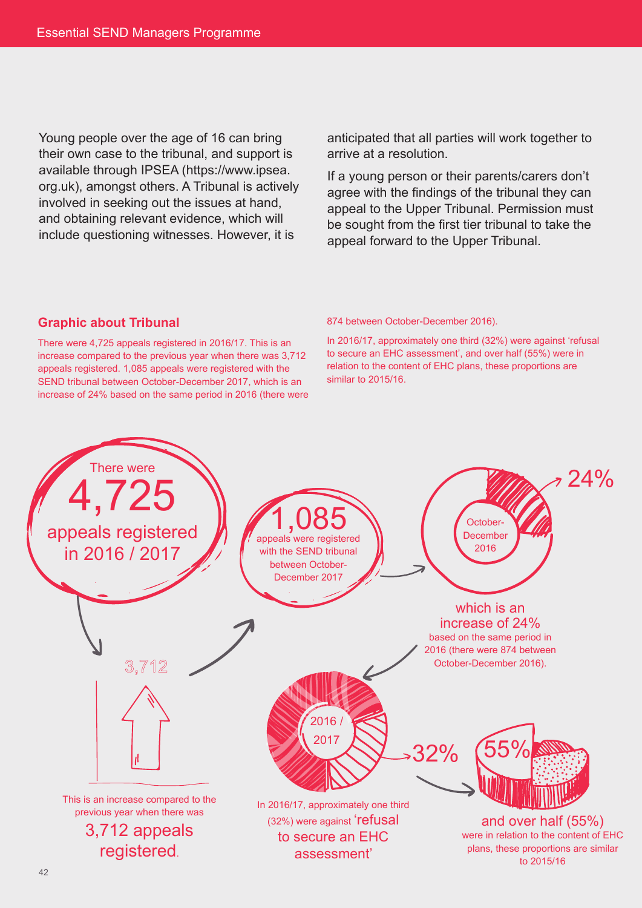Young people over the age of 16 can bring their own case to the tribunal, and support is available through IPSEA (https://www.ipsea. org.uk), amongst others. A Tribunal is actively involved in seeking out the issues at hand, and obtaining relevant evidence, which will include questioning witnesses. However, it is

anticipated that all parties will work together to arrive at a resolution.

If a young person or their parents/carers don't agree with the findings of the tribunal they can appeal to the Upper Tribunal. Permission must be sought from the first tier tribunal to take the appeal forward to the Upper Tribunal.

#### **Graphic about Tribunal**

There were 4,725 appeals registered in 2016/17. This is an increase compared to the previous year when there was 3,712 appeals registered. 1,085 appeals were registered with the SEND tribunal between October-December 2017, which is an increase of 24% based on the same period in 2016 (there were

#### 874 between October-December 2016).

In 2016/17, approximately one third (32%) were against 'refusal to secure an EHC assessment', and over half (55%) were in relation to the content of EHC plans, these proportions are similar to 2015/16.

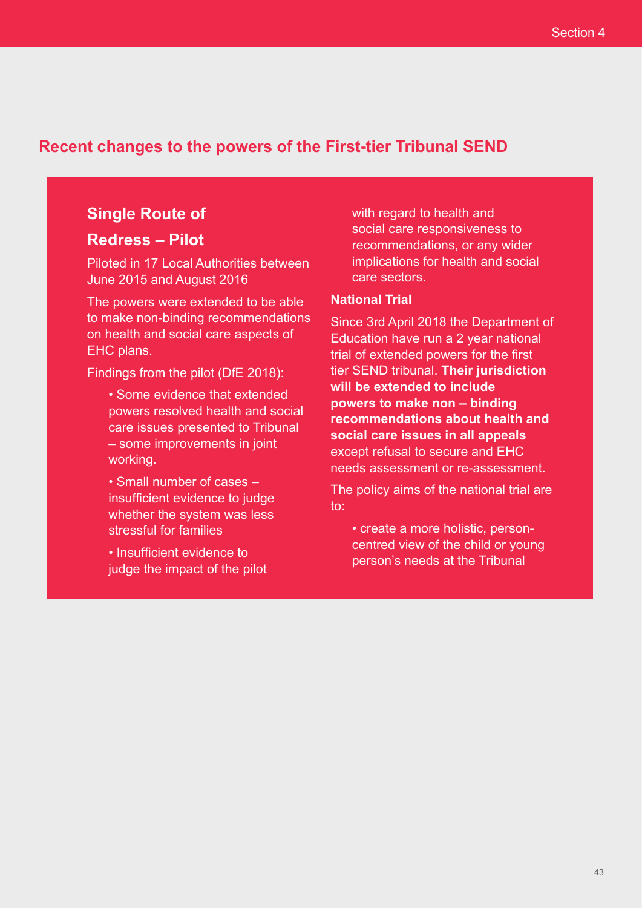## **Recent changes to the powers of the First-tier Tribunal SEND**

# **Single Route of**

## **Redress – Pilot**

Piloted in 17 Local Authorities between June 2015 and August 2016

The powers were extended to be able to make non-binding recommendations on health and social care aspects of EHC plans.

Findings from the pilot (DfE 2018):

- Some evidence that extended powers resolved health and social care issues presented to Tribunal – some improvements in joint working.
- Small number of cases insufficient evidence to judge whether the system was less stressful for families

• Insufficient evidence to judge the impact of the pilot with regard to health and social care responsiveness to recommendations, or any wider implications for health and social care sectors.

#### **National Trial**

Since 3rd April 2018 the Department of Education have run a 2 year national trial of extended powers for the first tier SEND tribunal. **Their jurisdiction will be extended to include powers to make non – binding recommendations about health and social care issues in all appeals** except refusal to secure and EHC needs assessment or re-assessment.

The policy aims of the national trial are to:

• create a more holistic, personcentred view of the child or young person's needs at the Tribunal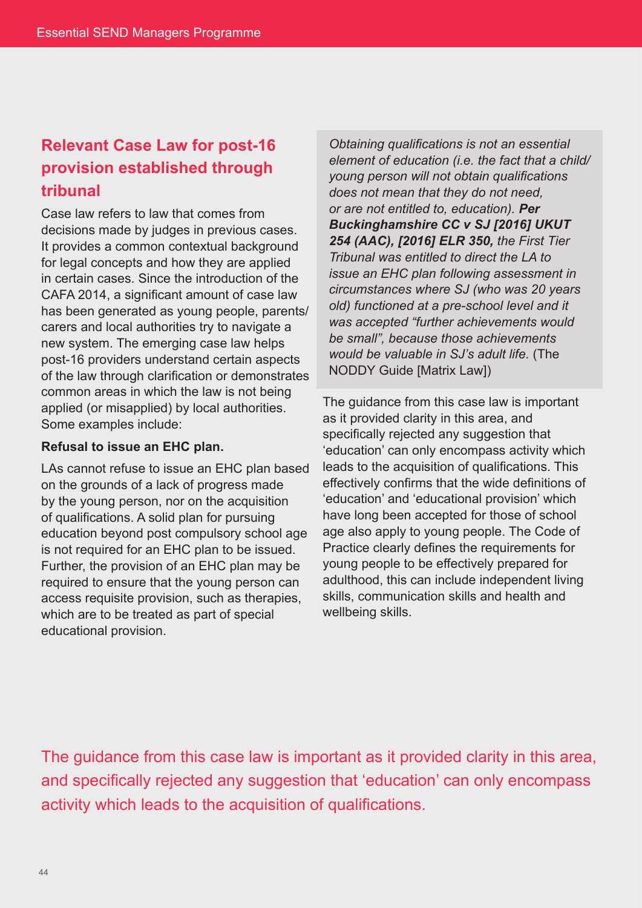# **Relevant Case Law for post-16 provision established through tribunal**

Case law refers to law that comes from decisions made by judges in previous cases. It provides a common contextual background for legal concepts and how they are applied in certain cases. Since the introduction of the CAFA 2014, a significant amount of case law has been generated as young people, parents/ carers and local authorities try to navigate a new system. The emerging case law helps post-16 providers understand certain aspects of the law through clarification or demonstrates common areas in which the law is not being applied (or misapplied) by local authorities. Some examples include:

#### **Refusal to issue an EHC plan.**

LAs cannot refuse to issue an EHC plan based on the grounds of a lack of progress made by the young person, nor on the acquisition of qualifications. A solid plan for pursuing education beyond post compulsory school age is not required for an EHC plan to be issued. Further, the provision of an EHC plan may be required to ensure that the young person can access requisite provision, such as therapies, which are to be treated as part of special educational provision.

*Obtaining qualifications is not an essential element of education (i.e. the fact that a child/ young person will not obtain qualifications does not mean that they do not need, or are not entitled to, education). Per Buckinghamshire CC v SJ [2016] UKUT 254 (AAC), [2016] ELR 350, the First Tier Tribunal was entitled to direct the LA to issue an EHC plan following assessment in circumstances where SJ (who was 20 years old) functioned at a pre-school level and it was accepted "further achievements would be small", because those achievements would be valuable in SJ's adult life.* (The NODDY Guide [Matrix Law])

The guidance from this case law is important as it provided clarity in this area, and specifically rejected any suggestion that 'education' can only encompass activity which leads to the acquisition of qualifications. This effectively confirms that the wide definitions of 'education' and 'educational provision' which have long been accepted for those of school age also apply to young people. The Code of Practice clearly defines the requirements for young people to be effectively prepared for adulthood, this can include independent living skills, communication skills and health and wellbeing skills.

The guidance from this case law is important as it provided clarity in this area, and specifically rejected any suggestion that 'education' can only encompass activity which leads to the acquisition of qualifications.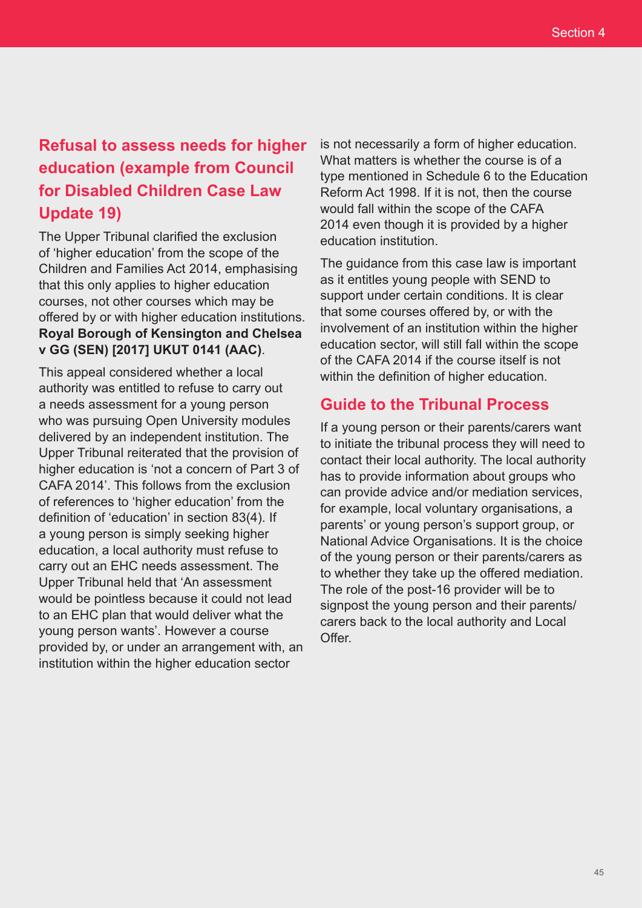# **Refusal to assess needs for higher education (example from Council for Disabled Children Case Law Update 19)**

The Upper Tribunal clarified the exclusion of 'higher education' from the scope of the Children and Families Act 2014, emphasising that this only applies to higher education courses, not other courses which may be offered by or with higher education institutions. **Royal Borough of Kensington and Chelsea v GG (SEN) [2017] UKUT 0141 (AAC)**.

This appeal considered whether a local authority was entitled to refuse to carry out a needs assessment for a young person who was pursuing Open University modules delivered by an independent institution. The Upper Tribunal reiterated that the provision of higher education is 'not a concern of Part 3 of CAFA 2014'. This follows from the exclusion of references to 'higher education' from the definition of 'education' in section 83(4). If a young person is simply seeking higher education, a local authority must refuse to carry out an EHC needs assessment. The Upper Tribunal held that 'An assessment would be pointless because it could not lead to an EHC plan that would deliver what the young person wants'. However a course provided by, or under an arrangement with, an institution within the higher education sector

is not necessarily a form of higher education. What matters is whether the course is of a type mentioned in Schedule 6 to the Education Reform Act 1998. If it is not, then the course would fall within the scope of the CAFA 2014 even though it is provided by a higher education institution.

The guidance from this case law is important as it entitles young people with SEND to support under certain conditions. It is clear that some courses offered by, or with the involvement of an institution within the higher education sector, will still fall within the scope of the CAFA 2014 if the course itself is not within the definition of higher education.

## **Guide to the Tribunal Process**

If a young person or their parents/carers want to initiate the tribunal process they will need to contact their local authority. The local authority has to provide information about groups who can provide advice and/or mediation services, for example, local voluntary organisations, a parents' or young person's support group, or National Advice Organisations. It is the choice of the young person or their parents/carers as to whether they take up the offered mediation. The role of the post-16 provider will be to signpost the young person and their parents/ carers back to the local authority and Local Offer.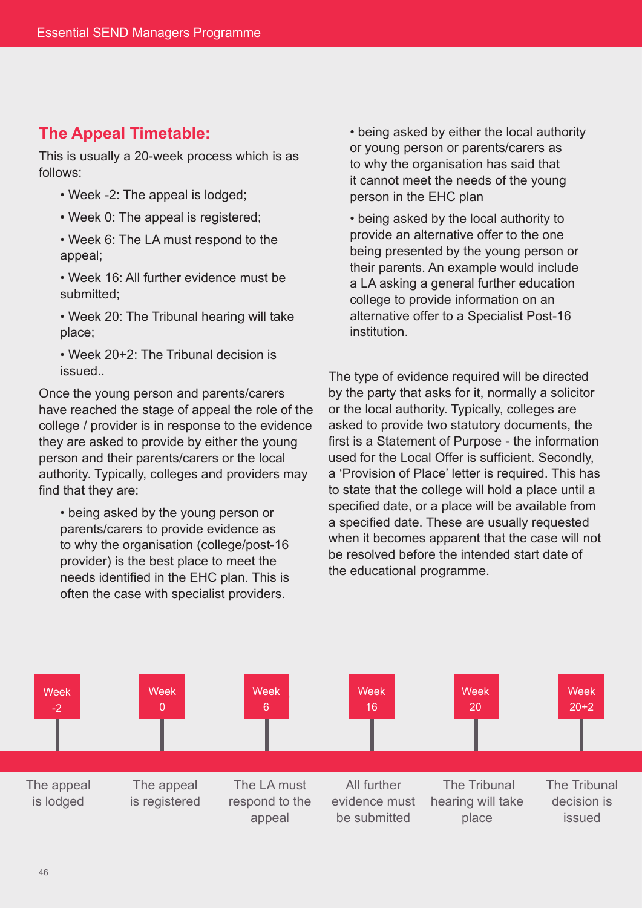## **The Appeal Timetable:**

This is usually a 20-week process which is as follows:

- Week -2: The appeal is lodged;
- Week 0: The appeal is registered;

• Week 6: The LA must respond to the appeal;

• Week 16: All further evidence must be submitted;

• Week 20: The Tribunal hearing will take place;

• Week 20+2: The Tribunal decision is issued..

Once the young person and parents/carers have reached the stage of appeal the role of the college / provider is in response to the evidence they are asked to provide by either the young person and their parents/carers or the local authority. Typically, colleges and providers may find that they are:

• being asked by the young person or parents/carers to provide evidence as to why the organisation (college/post-16 provider) is the best place to meet the needs identified in the EHC plan. This is often the case with specialist providers.

• being asked by either the local authority or young person or parents/carers as to why the organisation has said that it cannot meet the needs of the young person in the EHC plan

• being asked by the local authority to provide an alternative offer to the one being presented by the young person or their parents. An example would include a LA asking a general further education college to provide information on an alternative offer to a Specialist Post-16 institution.

The type of evidence required will be directed by the party that asks for it, normally a solicitor or the local authority. Typically, colleges are asked to provide two statutory documents, the first is a Statement of Purpose - the information used for the Local Offer is sufficient. Secondly, a 'Provision of Place' letter is required. This has to state that the college will hold a place until a specified date, or a place will be available from a specified date. These are usually requested when it becomes apparent that the case will not be resolved before the intended start date of the educational programme.

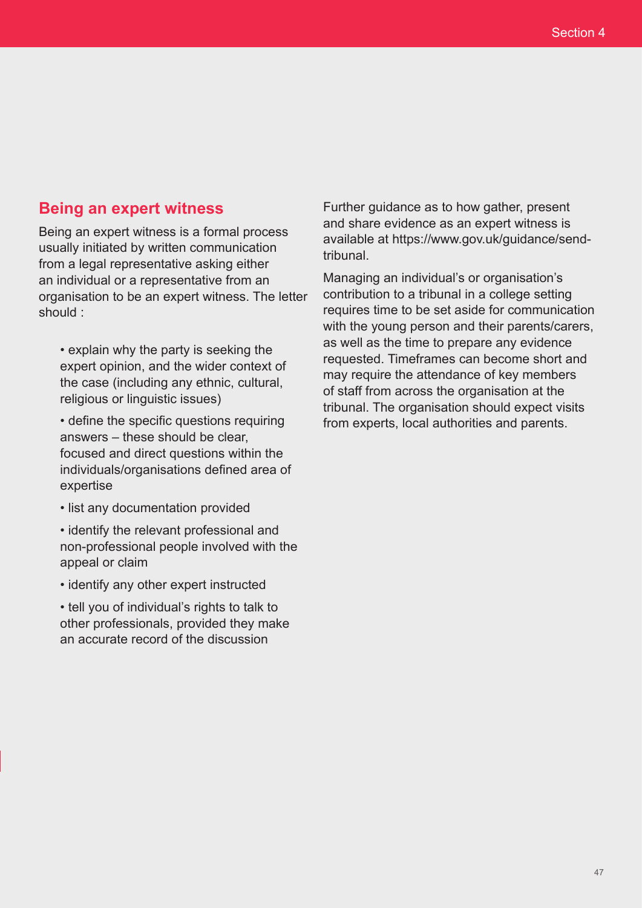## **Being an expert witness**

Being an expert witness is a formal process usually initiated by written communication from a legal representative asking either an individual or a representative from an organisation to be an expert witness. The letter should :

• explain why the party is seeking the expert opinion, and the wider context of the case (including any ethnic, cultural, religious or linguistic issues)

• define the specific questions requiring answers – these should be clear, focused and direct questions within the individuals/organisations defined area of expertise

• list any documentation provided

• identify the relevant professional and non-professional people involved with the appeal or claim

• identify any other expert instructed

• tell you of individual's rights to talk to other professionals, provided they make an accurate record of the discussion

Further guidance as to how gather, present and share evidence as an expert witness is available at https://www.gov.uk/guidance/sendtribunal.

Managing an individual's or organisation's contribution to a tribunal in a college setting requires time to be set aside for communication with the young person and their parents/carers, as well as the time to prepare any evidence requested. Timeframes can become short and may require the attendance of key members of staff from across the organisation at the tribunal. The organisation should expect visits from experts, local authorities and parents.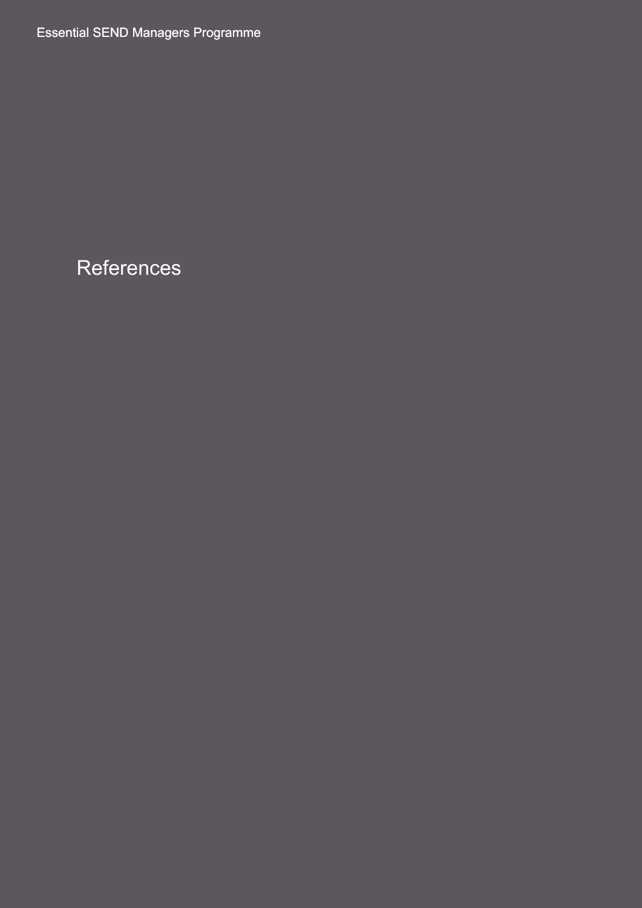Essential SEND Managers Programme

References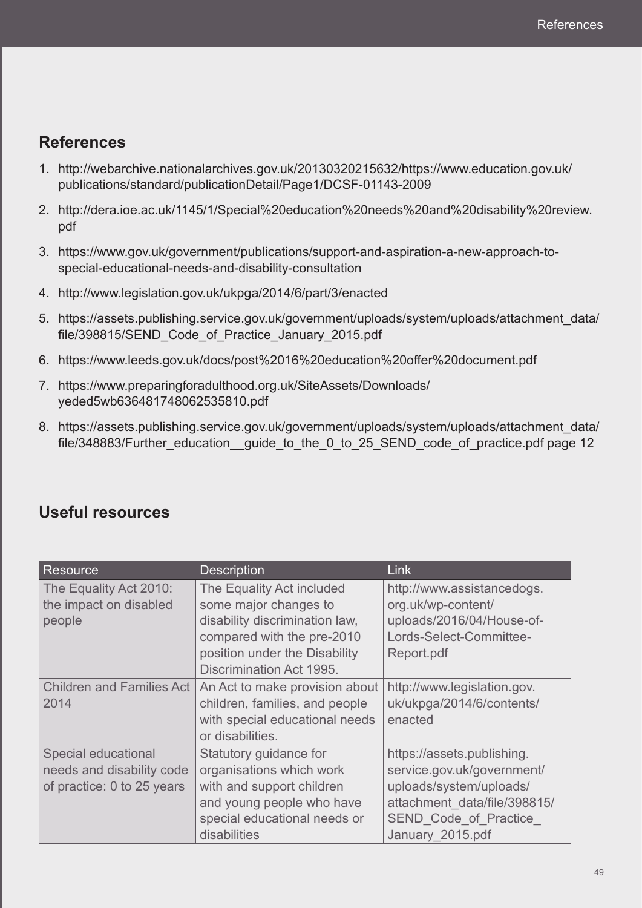## **References**

- 1. http://webarchive.nationalarchives.gov.uk/20130320215632/https://www.education.gov.uk/ publications/standard/publicationDetail/Page1/DCSF-01143-2009
- 2. http://dera.ioe.ac.uk/1145/1/Special%20education%20needs%20and%20disability%20review. pdf
- 3. https://www.gov.uk/government/publications/support-and-aspiration-a-new-approach-tospecial-educational-needs-and-disability-consultation
- 4. http://www.legislation.gov.uk/ukpga/2014/6/part/3/enacted
- 5. https://assets.publishing.service.gov.uk/government/uploads/system/uploads/attachment\_data/ file/398815/SEND Code of Practice January 2015.pdf
- 6. https://www.leeds.gov.uk/docs/post%2016%20education%20offer%20document.pdf
- 7. https://www.preparingforadulthood.org.uk/SiteAssets/Downloads/ yeded5wb636481748062535810.pdf
- 8. https://assets.publishing.service.gov.uk/government/uploads/system/uploads/attachment\_data/ file/348883/Further\_education\_guide\_to\_the\_0\_to\_25\_SEND\_code\_of\_practice.pdf page 12

| Resource                                                                       | <b>Description</b>                                                                                                                                                              | <b>Link</b>                                                                                                                                                      |
|--------------------------------------------------------------------------------|---------------------------------------------------------------------------------------------------------------------------------------------------------------------------------|------------------------------------------------------------------------------------------------------------------------------------------------------------------|
| The Equality Act 2010:<br>the impact on disabled<br>people                     | The Equality Act included<br>some major changes to<br>disability discrimination law,<br>compared with the pre-2010<br>position under the Disability<br>Discrimination Act 1995. | http://www.assistancedogs.<br>org.uk/wp-content/<br>uploads/2016/04/House-of-<br>Lords-Select-Committee-<br>Report.pdf                                           |
| <b>Children and Families Act</b><br>2014                                       | An Act to make provision about<br>children, families, and people<br>with special educational needs<br>or disabilities.                                                          | http://www.legislation.gov.<br>uk/ukpga/2014/6/contents/<br>enacted                                                                                              |
| Special educational<br>needs and disability code<br>of practice: 0 to 25 years | Statutory guidance for<br>organisations which work<br>with and support children<br>and young people who have<br>special educational needs or<br>disabilities                    | https://assets.publishing.<br>service.gov.uk/government/<br>uploads/system/uploads/<br>attachment data/file/398815/<br>SEND Code of Practice<br>January 2015.pdf |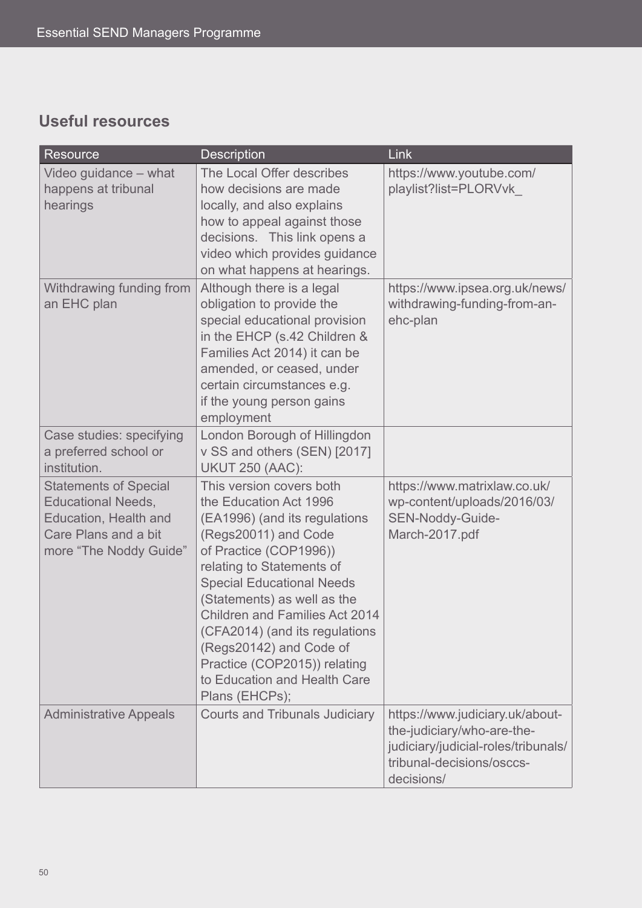# **Useful resources**

| <b>Resource</b>                                                                                                                      | <b>Description</b>                                                                                                                                                                                                                                                                                                                                                                                                            | Link                                                                                                                                            |
|--------------------------------------------------------------------------------------------------------------------------------------|-------------------------------------------------------------------------------------------------------------------------------------------------------------------------------------------------------------------------------------------------------------------------------------------------------------------------------------------------------------------------------------------------------------------------------|-------------------------------------------------------------------------------------------------------------------------------------------------|
| Video guidance – what<br>happens at tribunal<br>hearings                                                                             | The Local Offer describes<br>how decisions are made<br>locally, and also explains<br>how to appeal against those<br>decisions. This link opens a<br>video which provides guidance<br>on what happens at hearings.                                                                                                                                                                                                             | https://www.youtube.com/<br>playlist?list=PLORVvk                                                                                               |
| Withdrawing funding from<br>an EHC plan                                                                                              | Although there is a legal<br>obligation to provide the<br>special educational provision<br>in the EHCP (s.42 Children &<br>Families Act 2014) it can be<br>amended, or ceased, under<br>certain circumstances e.g.<br>if the young person gains<br>employment                                                                                                                                                                 | https://www.ipsea.org.uk/news/<br>withdrawing-funding-from-an-<br>ehc-plan                                                                      |
| Case studies: specifying<br>a preferred school or<br>institution.                                                                    | London Borough of Hillingdon<br>v SS and others (SEN) [2017]<br><b>UKUT 250 (AAC):</b>                                                                                                                                                                                                                                                                                                                                        |                                                                                                                                                 |
| <b>Statements of Special</b><br><b>Educational Needs,</b><br>Education, Health and<br>Care Plans and a bit<br>more "The Noddy Guide" | This version covers both<br>the Education Act 1996<br>(EA1996) (and its regulations<br>(Regs20011) and Code<br>of Practice (COP1996))<br>relating to Statements of<br><b>Special Educational Needs</b><br>(Statements) as well as the<br><b>Children and Families Act 2014</b><br>(CFA2014) (and its regulations<br>(Regs20142) and Code of<br>Practice (COP2015)) relating<br>to Education and Health Care<br>Plans (EHCPs); | https://www.matrixlaw.co.uk/<br>wp-content/uploads/2016/03/<br>SEN-Noddy-Guide-<br>March-2017.pdf                                               |
| <b>Administrative Appeals</b>                                                                                                        | <b>Courts and Tribunals Judiciary</b>                                                                                                                                                                                                                                                                                                                                                                                         | https://www.judiciary.uk/about-<br>the-judiciary/who-are-the-<br>judiciary/judicial-roles/tribunals/<br>tribunal-decisions/osccs-<br>decisions/ |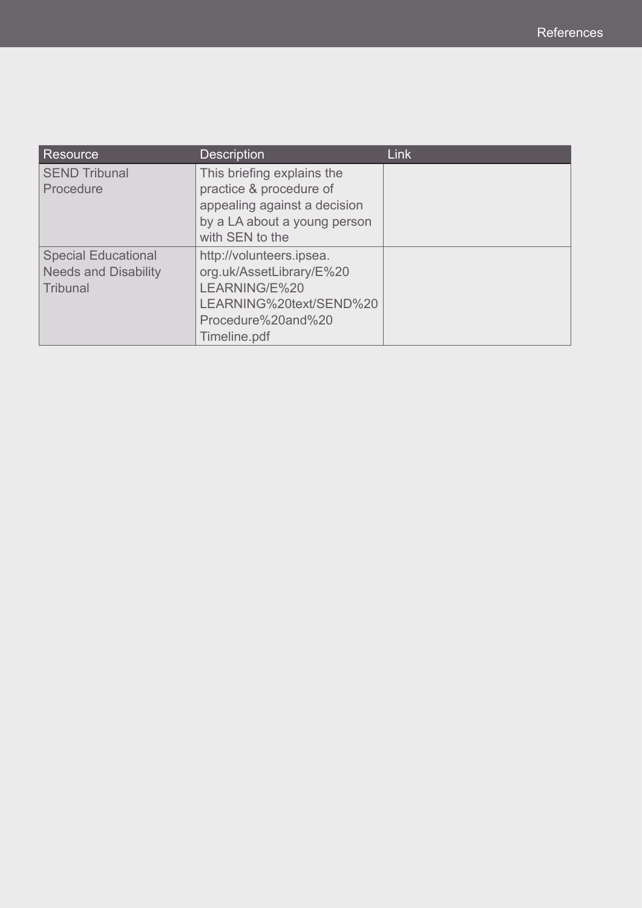| Resource                                                              | <b>Description</b>                                                                                                                       | <b>Link</b> |
|-----------------------------------------------------------------------|------------------------------------------------------------------------------------------------------------------------------------------|-------------|
| <b>SEND Tribunal</b><br>Procedure                                     | This briefing explains the<br>practice & procedure of<br>appealing against a decision<br>by a LA about a young person<br>with SEN to the |             |
| <b>Special Educational</b><br><b>Needs and Disability</b><br>Tribunal | http://volunteers.ipsea.<br>org.uk/AssetLibrary/E%20<br>LEARNING/E%20<br>LEARNING%20text/SEND%20<br>Procedure%20and%20<br>Timeline.pdf   |             |